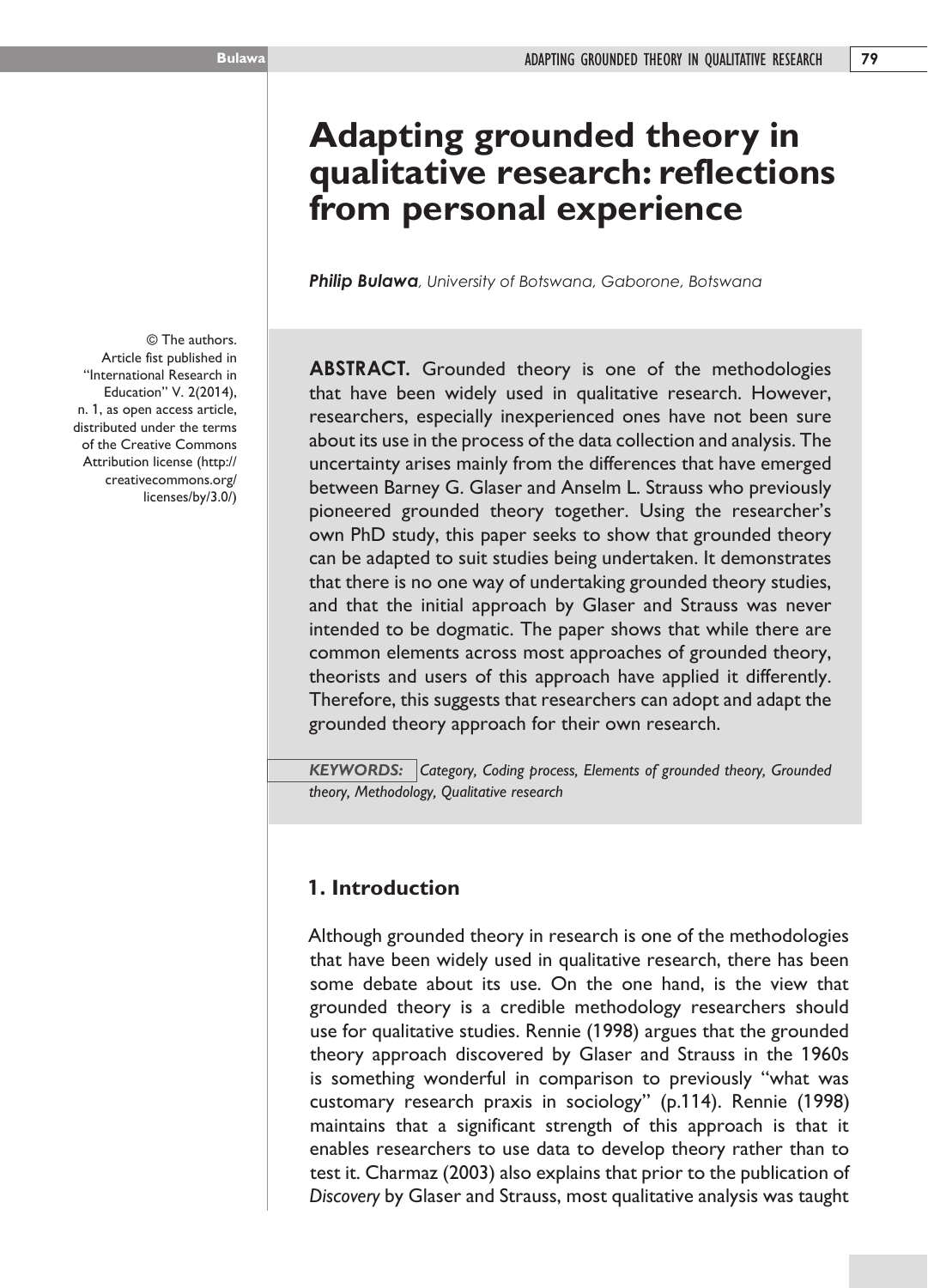# **Adapting grounded theory in qualitative research: reflections from personal experience**

*Philip Bulawa, University of Botswana, Gaborone, Botswana* 

**ABSTRACT.** Grounded theory is one of the methodologies that have been widely used in qualitative research. However, researchers, especially inexperienced ones have not been sure about its use in the process of the data collection and analysis. The uncertainty arises mainly from the differences that have emerged between Barney G. Glaser and Anselm L. Strauss who previously pioneered grounded theory together. Using the researcher's own PhD study, this paper seeks to show that grounded theory can be adapted to suit studies being undertaken. It demonstrates that there is no one way of undertaking grounded theory studies, and that the initial approach by Glaser and Strauss was never intended to be dogmatic. The paper shows that while there are common elements across most approaches of grounded theory, theorists and users of this approach have applied it differently. Therefore, this suggests that researchers can adopt and adapt the grounded theory approach for their own research.

*KEYWORDS: Category, Coding process, Elements of grounded theory, Grounded theory, Methodology, Qualitative research*

# **1. Introduction**

Although grounded theory in research is one of the methodologies that have been widely used in qualitative research, there has been some debate about its use. On the one hand, is the view that grounded theory is a credible methodology researchers should use for qualitative studies. Rennie (1998) argues that the grounded theory approach discovered by Glaser and Strauss in the 1960s is something wonderful in comparison to previously "what was customary research praxis in sociology" (p.114). Rennie (1998) maintains that a significant strength of this approach is that it enables researchers to use data to develop theory rather than to test it. Charmaz (2003) also explains that prior to the publication of *Discovery* by Glaser and Strauss, most qualitative analysis was taught

© The authors. Article fist published in "International Research in Education" V. 2(2014), n. 1, as open access article, distributed under the terms of the Creative Commons Attribution license (http:// creativecommons.org/ licenses/by/3.0/)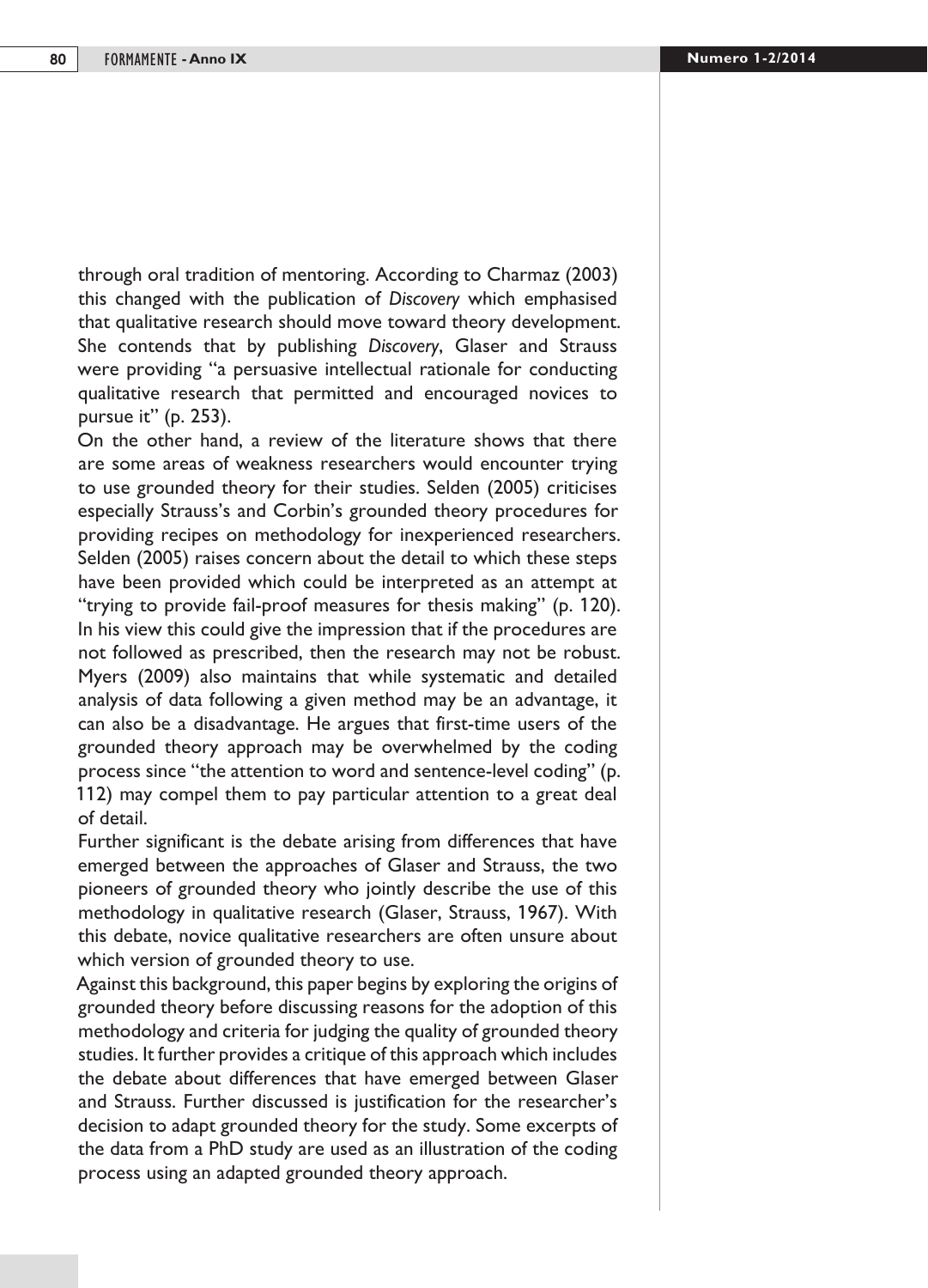through oral tradition of mentoring. According to Charmaz (2003) this changed with the publication of *Discovery* which emphasised that qualitative research should move toward theory development. She contends that by publishing *Discovery*, Glaser and Strauss were providing "a persuasive intellectual rationale for conducting qualitative research that permitted and encouraged novices to pursue it" (p. 253).

On the other hand, a review of the literature shows that there are some areas of weakness researchers would encounter trying to use grounded theory for their studies. Selden (2005) criticises especially Strauss's and Corbin's grounded theory procedures for providing recipes on methodology for inexperienced researchers. Selden (2005) raises concern about the detail to which these steps have been provided which could be interpreted as an attempt at "trying to provide fail-proof measures for thesis making" (p. 120). In his view this could give the impression that if the procedures are not followed as prescribed, then the research may not be robust. Myers (2009) also maintains that while systematic and detailed analysis of data following a given method may be an advantage, it can also be a disadvantage. He argues that first-time users of the grounded theory approach may be overwhelmed by the coding process since "the attention to word and sentence-level coding" (p. 112) may compel them to pay particular attention to a great deal of detail.

Further significant is the debate arising from differences that have emerged between the approaches of Glaser and Strauss, the two pioneers of grounded theory who jointly describe the use of this methodology in qualitative research (Glaser, Strauss, 1967). With this debate, novice qualitative researchers are often unsure about which version of grounded theory to use.

Against this background, this paper begins by exploring the origins of grounded theory before discussing reasons for the adoption of this methodology and criteria for judging the quality of grounded theory studies. It further provides a critique of this approach which includes the debate about differences that have emerged between Glaser and Strauss. Further discussed is justification for the researcher's decision to adapt grounded theory for the study. Some excerpts of the data from a PhD study are used as an illustration of the coding process using an adapted grounded theory approach.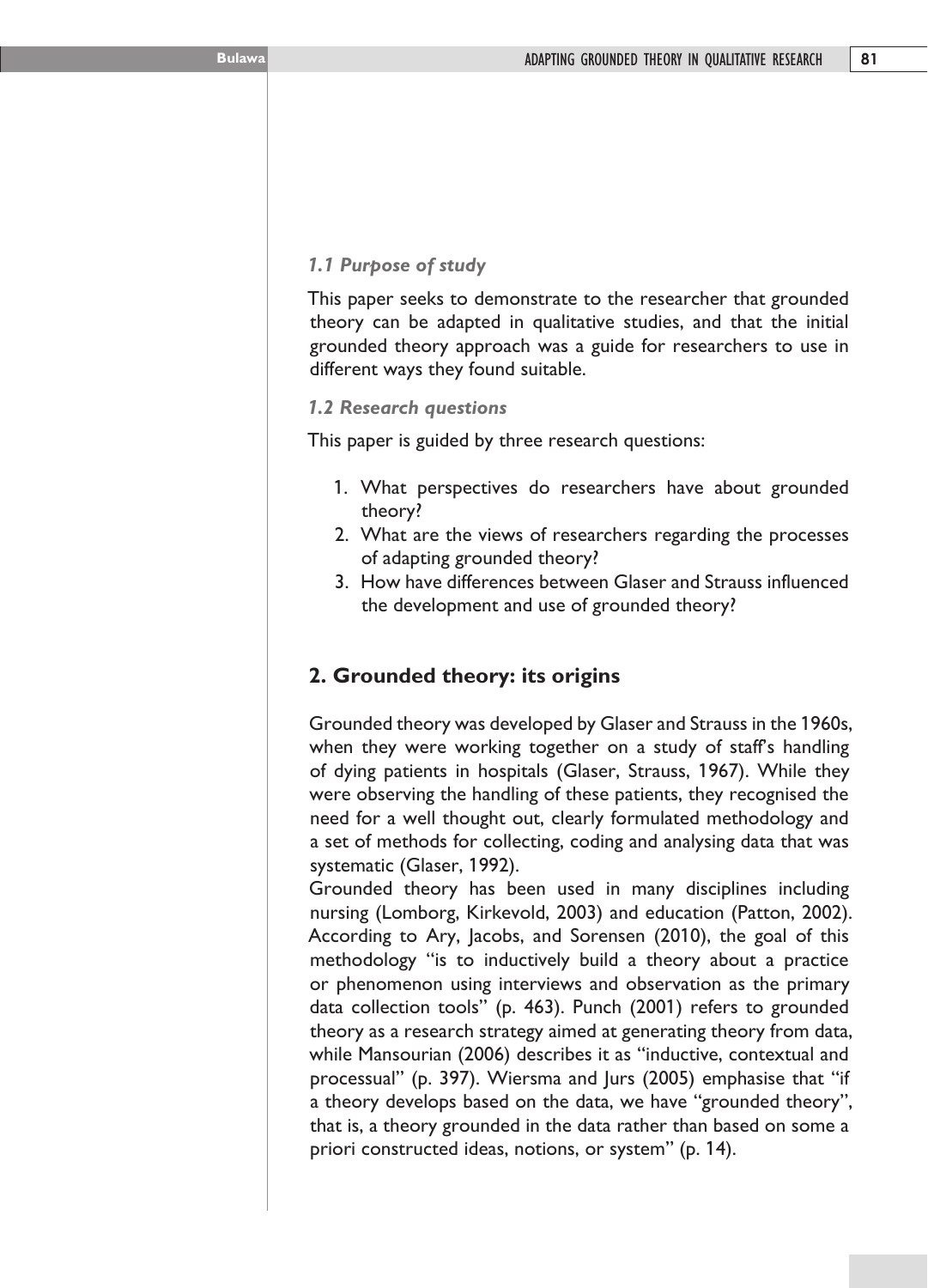#### *1.1 Purpose of study*

This paper seeks to demonstrate to the researcher that grounded theory can be adapted in qualitative studies, and that the initial grounded theory approach was a guide for researchers to use in different ways they found suitable.

#### *1.2 Research questions*

This paper is guided by three research questions:

- 1. What perspectives do researchers have about grounded theory?
- 2. What are the views of researchers regarding the processes of adapting grounded theory?
- 3. How have differences between Glaser and Strauss influenced the development and use of grounded theory?

## **2. Grounded theory: its origins**

Grounded theory was developed by Glaser and Strauss in the 1960s, when they were working together on a study of staff's handling of dying patients in hospitals (Glaser, Strauss, 1967). While they were observing the handling of these patients, they recognised the need for a well thought out, clearly formulated methodology and a set of methods for collecting, coding and analysing data that was systematic (Glaser, 1992).

Grounded theory has been used in many disciplines including nursing (Lomborg, Kirkevold, 2003) and education (Patton, 2002). According to Ary, Jacobs, and Sorensen (2010), the goal of this methodology "is to inductively build a theory about a practice or phenomenon using interviews and observation as the primary data collection tools" (p. 463). Punch (2001) refers to grounded theory as a research strategy aimed at generating theory from data, while Mansourian (2006) describes it as "inductive, contextual and processual" (p. 397). Wiersma and Jurs (2005) emphasise that "if a theory develops based on the data, we have "grounded theory", that is, a theory grounded in the data rather than based on some a priori constructed ideas, notions, or system" (p. 14).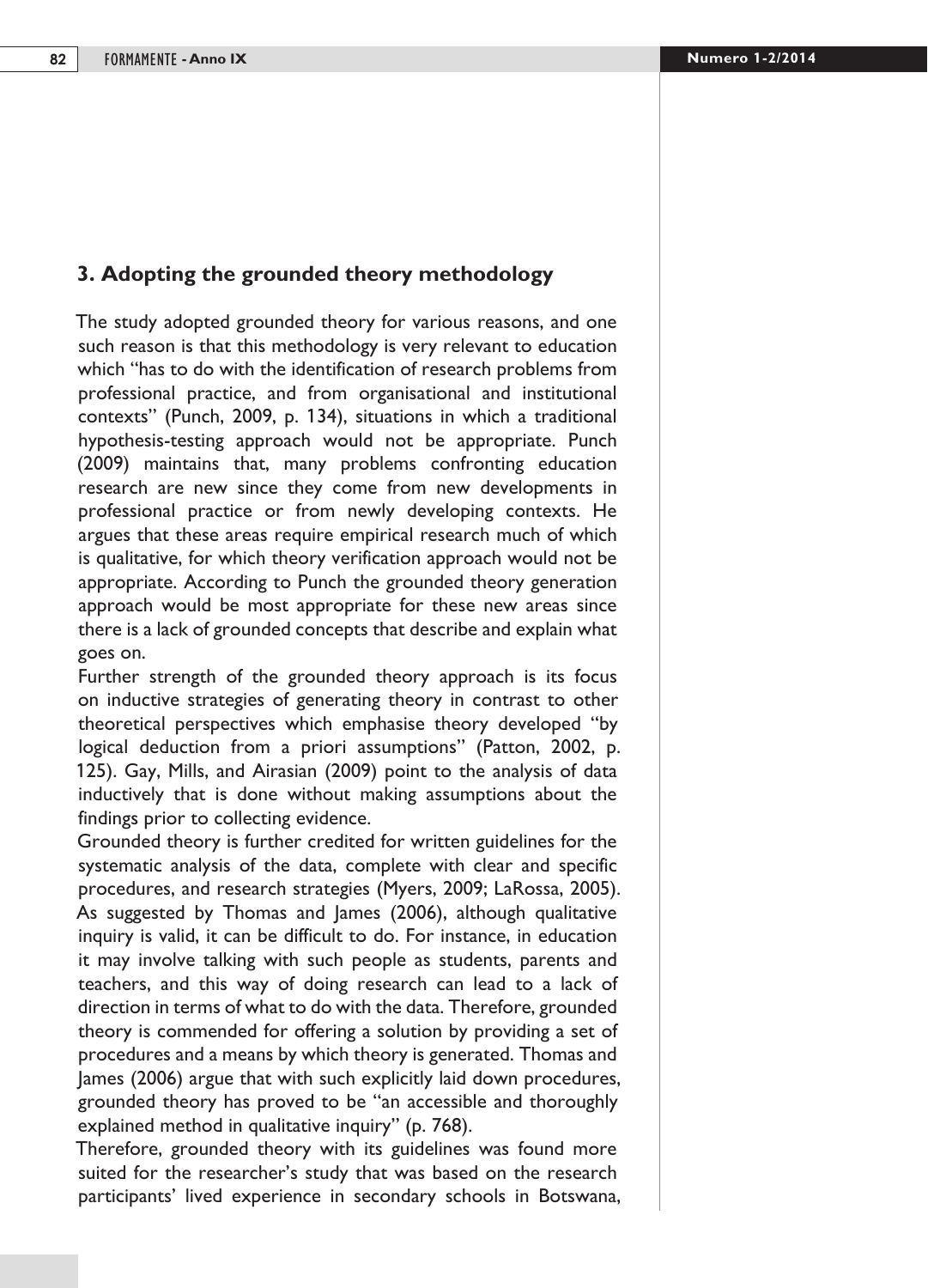# **3. Adopting the grounded theory methodology**

The study adopted grounded theory for various reasons, and one such reason is that this methodology is very relevant to education which "has to do with the identification of research problems from professional practice, and from organisational and institutional contexts" (Punch, 2009, p. 134), situations in which a traditional hypothesis-testing approach would not be appropriate. Punch (2009) maintains that, many problems confronting education research are new since they come from new developments in professional practice or from newly developing contexts. He argues that these areas require empirical research much of which is qualitative, for which theory verification approach would not be appropriate. According to Punch the grounded theory generation approach would be most appropriate for these new areas since there is a lack of grounded concepts that describe and explain what goes on.

Further strength of the grounded theory approach is its focus on inductive strategies of generating theory in contrast to other theoretical perspectives which emphasise theory developed "by logical deduction from a priori assumptions" (Patton, 2002, p. 125). Gay, Mills, and Airasian (2009) point to the analysis of data inductively that is done without making assumptions about the findings prior to collecting evidence.

Grounded theory is further credited for written guidelines for the systematic analysis of the data, complete with clear and specific procedures, and research strategies (Myers, 2009; LaRossa, 2005). As suggested by Thomas and James (2006), although qualitative inquiry is valid, it can be difficult to do. For instance, in education it may involve talking with such people as students, parents and teachers, and this way of doing research can lead to a lack of direction in terms of what to do with the data. Therefore, grounded theory is commended for offering a solution by providing a set of procedures and a means by which theory is generated. Thomas and James (2006) argue that with such explicitly laid down procedures, grounded theory has proved to be "an accessible and thoroughly explained method in qualitative inquiry" (p. 768).

Therefore, grounded theory with its guidelines was found more suited for the researcher's study that was based on the research participants' lived experience in secondary schools in Botswana,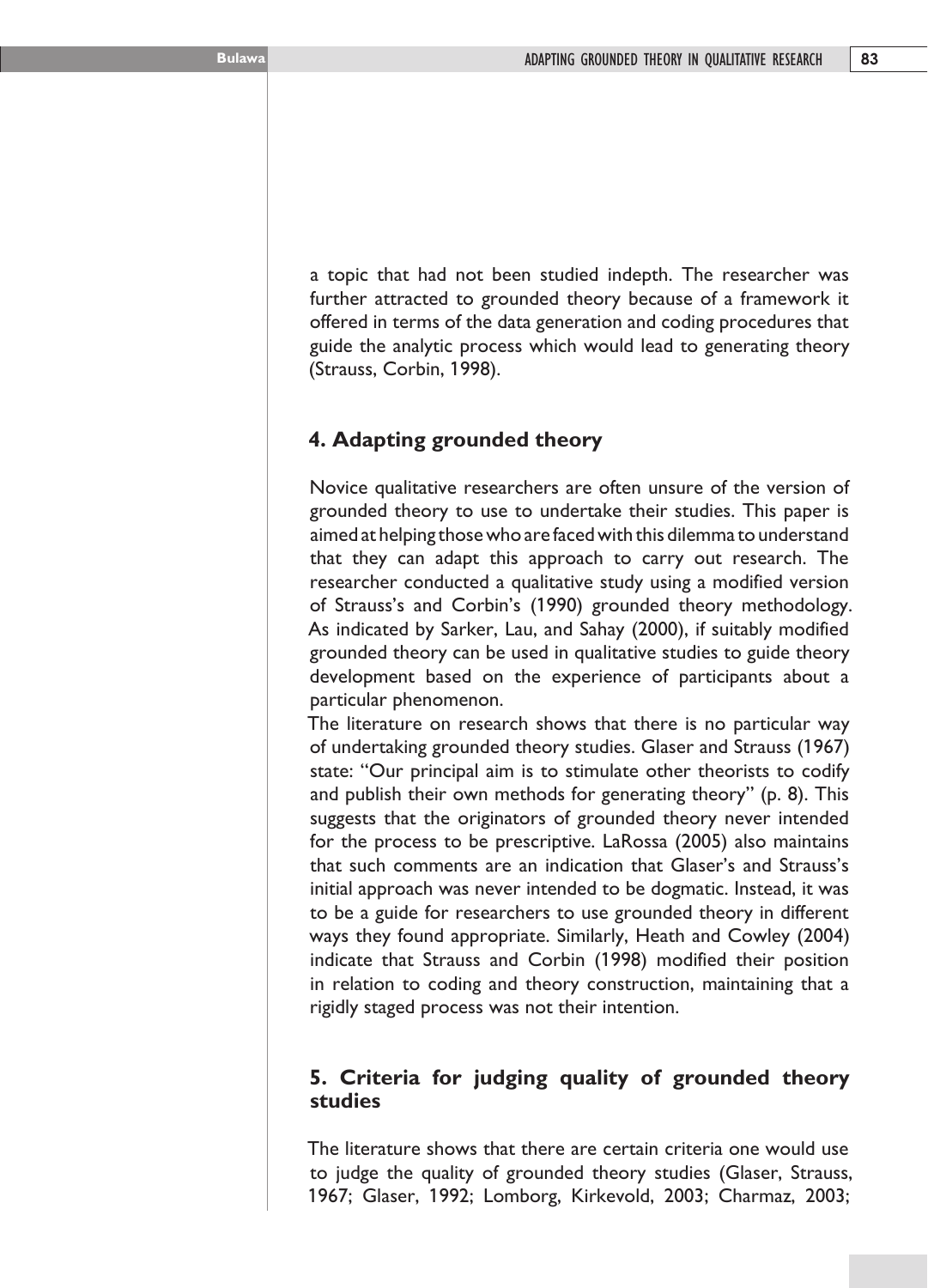a topic that had not been studied indepth. The researcher was further attracted to grounded theory because of a framework it offered in terms of the data generation and coding procedures that guide the analytic process which would lead to generating theory (Strauss, Corbin, 1998).

## **4. Adapting grounded theory**

Novice qualitative researchers are often unsure of the version of grounded theory to use to undertake their studies. This paper is aimed at helping those who are faced with this dilemma to understand that they can adapt this approach to carry out research. The researcher conducted a qualitative study using a modified version of Strauss's and Corbin's (1990) grounded theory methodology. As indicated by Sarker, Lau, and Sahay (2000), if suitably modified grounded theory can be used in qualitative studies to guide theory development based on the experience of participants about a particular phenomenon.

The literature on research shows that there is no particular way of undertaking grounded theory studies. Glaser and Strauss (1967) state: "Our principal aim is to stimulate other theorists to codify and publish their own methods for generating theory" (p. 8). This suggests that the originators of grounded theory never intended for the process to be prescriptive. LaRossa (2005) also maintains that such comments are an indication that Glaser's and Strauss's initial approach was never intended to be dogmatic. Instead, it was to be a guide for researchers to use grounded theory in different ways they found appropriate. Similarly, Heath and Cowley (2004) indicate that Strauss and Corbin (1998) modified their position in relation to coding and theory construction, maintaining that a rigidly staged process was not their intention.

## **5. Criteria for judging quality of grounded theory studies**

The literature shows that there are certain criteria one would use to judge the quality of grounded theory studies (Glaser, Strauss, 1967; Glaser, 1992; Lomborg, Kirkevold, 2003; Charmaz, 2003;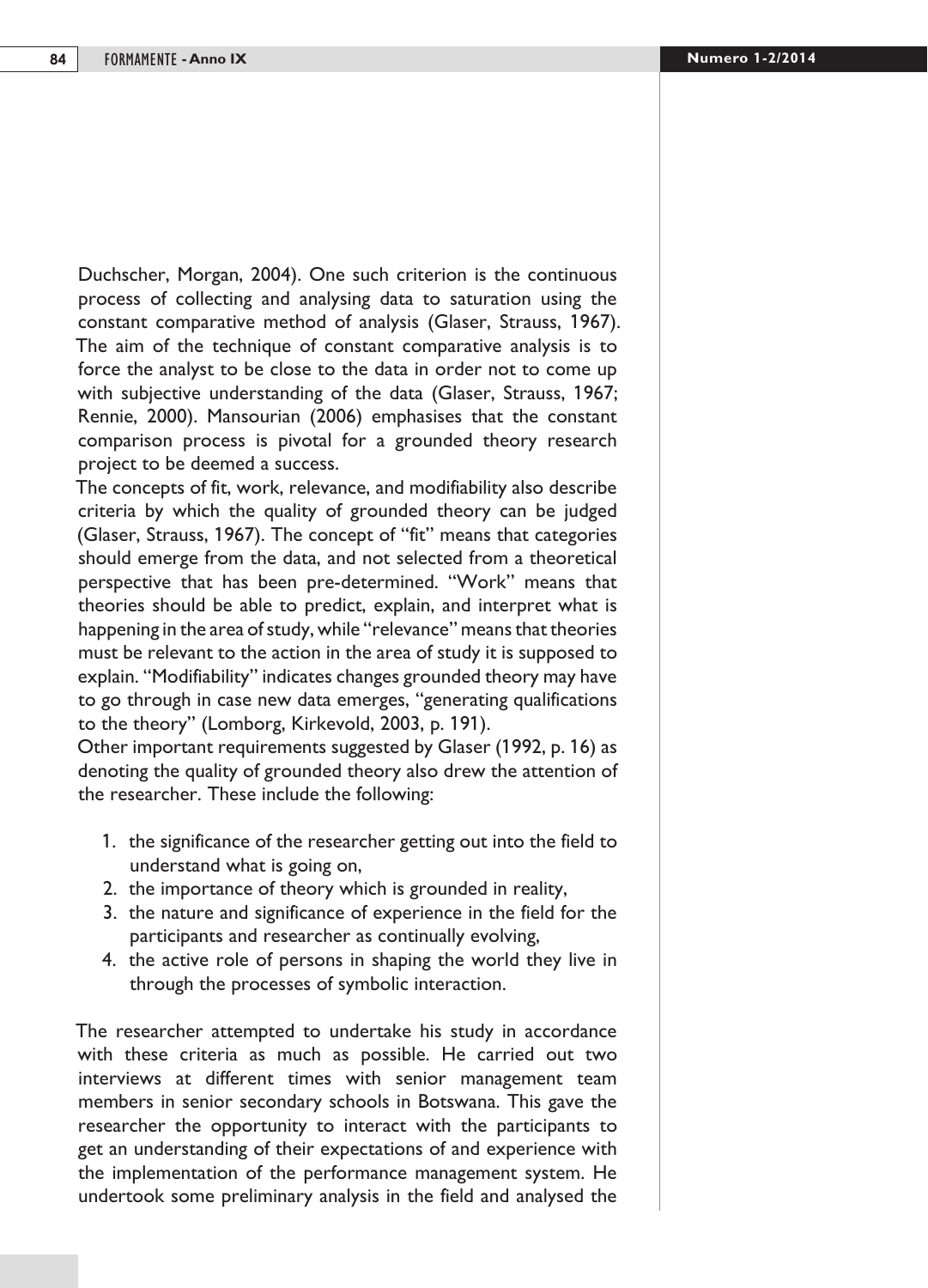Duchscher, Morgan, 2004). One such criterion is the continuous process of collecting and analysing data to saturation using the constant comparative method of analysis (Glaser, Strauss, 1967). The aim of the technique of constant comparative analysis is to force the analyst to be close to the data in order not to come up with subjective understanding of the data (Glaser, Strauss, 1967; Rennie, 2000). Mansourian (2006) emphasises that the constant comparison process is pivotal for a grounded theory research project to be deemed a success.

The concepts of fit, work, relevance, and modifiability also describe criteria by which the quality of grounded theory can be judged (Glaser, Strauss, 1967). The concept of "fit" means that categories should emerge from the data, and not selected from a theoretical perspective that has been pre-determined. "Work" means that theories should be able to predict, explain, and interpret what is happening in the area of study, while "relevance" means that theories must be relevant to the action in the area of study it is supposed to explain. "Modifiability" indicates changes grounded theory may have to go through in case new data emerges, "generating qualifications to the theory" (Lomborg, Kirkevold, 2003, p. 191).

Other important requirements suggested by Glaser (1992, p. 16) as denoting the quality of grounded theory also drew the attention of the researcher. These include the following:

- 1. the significance of the researcher getting out into the field to understand what is going on,
- 2. the importance of theory which is grounded in reality,
- 3. the nature and significance of experience in the field for the participants and researcher as continually evolving,
- 4. the active role of persons in shaping the world they live in through the processes of symbolic interaction.

The researcher attempted to undertake his study in accordance with these criteria as much as possible. He carried out two interviews at different times with senior management team members in senior secondary schools in Botswana. This gave the researcher the opportunity to interact with the participants to get an understanding of their expectations of and experience with the implementation of the performance management system. He undertook some preliminary analysis in the field and analysed the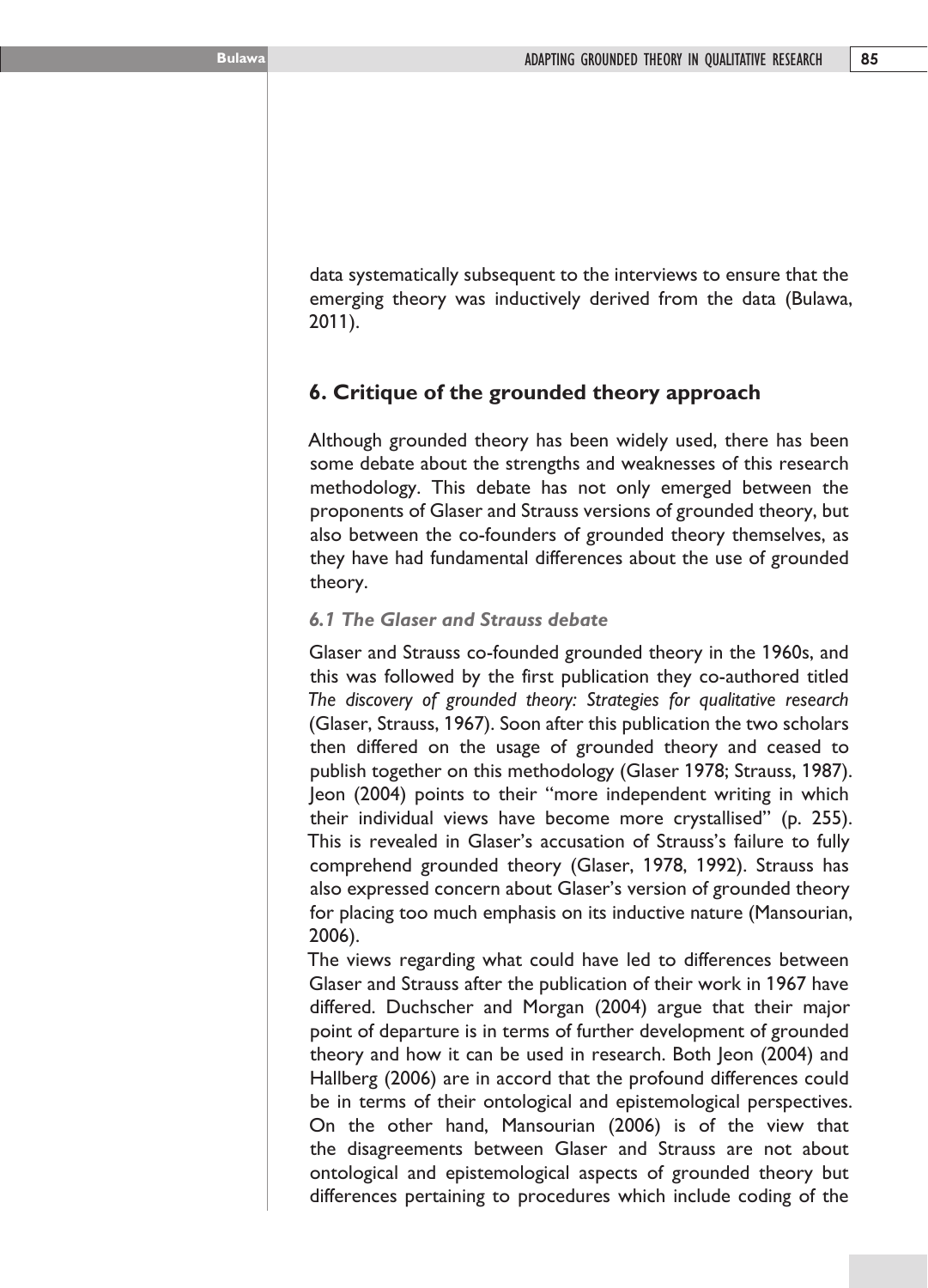data systematically subsequent to the interviews to ensure that the emerging theory was inductively derived from the data (Bulawa, 2011).

# **6. Critique of the grounded theory approach**

Although grounded theory has been widely used, there has been some debate about the strengths and weaknesses of this research methodology. This debate has not only emerged between the proponents of Glaser and Strauss versions of grounded theory, but also between the co-founders of grounded theory themselves, as they have had fundamental differences about the use of grounded theory.

## *6.1 The Glaser and Strauss debate*

Glaser and Strauss co-founded grounded theory in the 1960s, and this was followed by the first publication they co-authored titled *The discovery of grounded theory: Strategies for qualitative research* (Glaser, Strauss, 1967). Soon after this publication the two scholars then differed on the usage of grounded theory and ceased to publish together on this methodology (Glaser 1978; Strauss, 1987). Jeon (2004) points to their "more independent writing in which their individual views have become more crystallised" (p. 255). This is revealed in Glaser's accusation of Strauss's failure to fully comprehend grounded theory (Glaser, 1978, 1992). Strauss has also expressed concern about Glaser's version of grounded theory for placing too much emphasis on its inductive nature (Mansourian, 2006).

The views regarding what could have led to differences between Glaser and Strauss after the publication of their work in 1967 have differed. Duchscher and Morgan (2004) argue that their major point of departure is in terms of further development of grounded theory and how it can be used in research. Both Jeon (2004) and Hallberg (2006) are in accord that the profound differences could be in terms of their ontological and epistemological perspectives. On the other hand, Mansourian (2006) is of the view that the disagreements between Glaser and Strauss are not about ontological and epistemological aspects of grounded theory but differences pertaining to procedures which include coding of the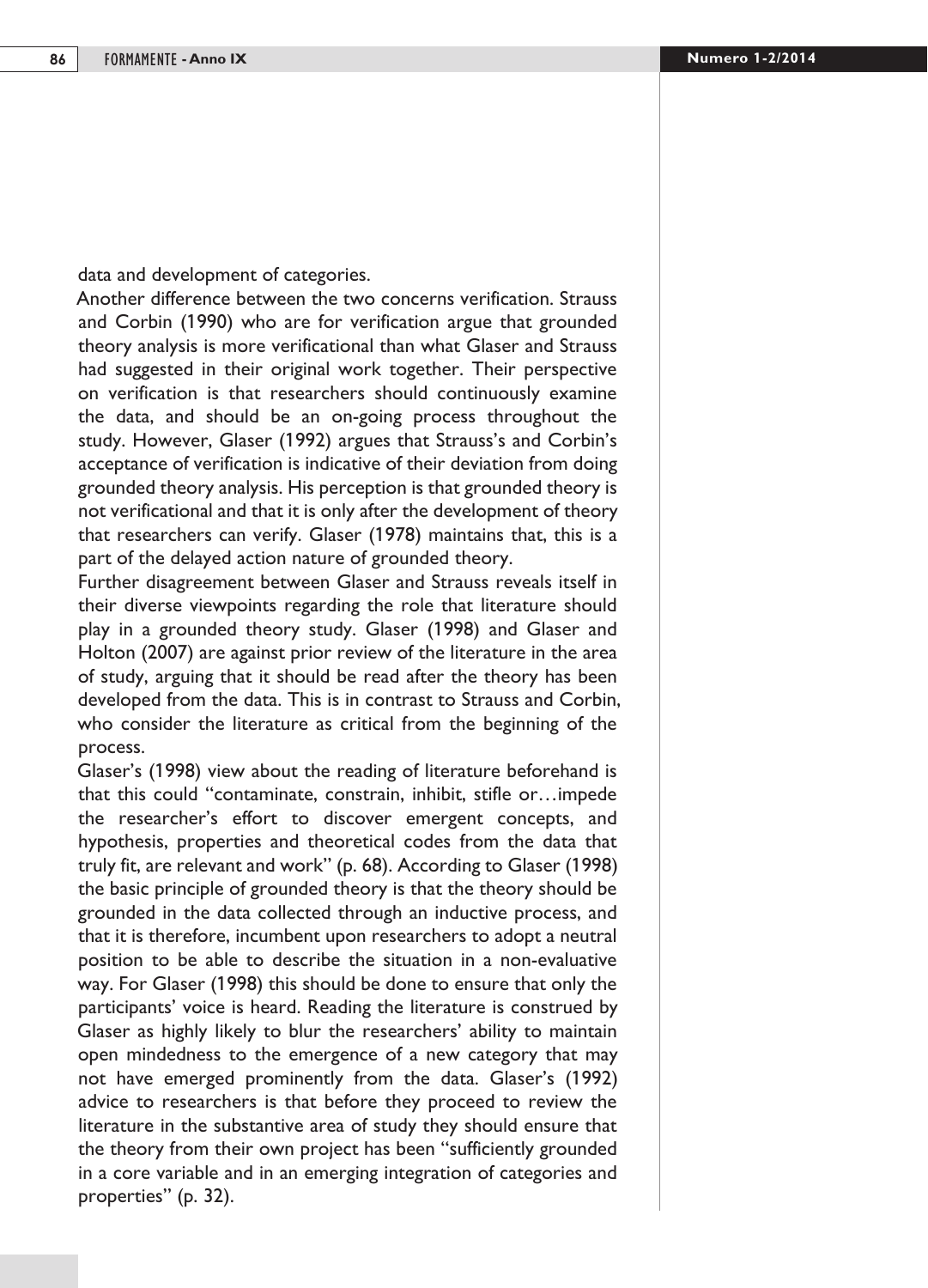data and development of categories.

Another difference between the two concerns verification. Strauss and Corbin (1990) who are for verification argue that grounded theory analysis is more verificational than what Glaser and Strauss had suggested in their original work together. Their perspective on verification is that researchers should continuously examine the data, and should be an on-going process throughout the study. However, Glaser (1992) argues that Strauss's and Corbin's acceptance of verification is indicative of their deviation from doing grounded theory analysis. His perception is that grounded theory is not verificational and that it is only after the development of theory that researchers can verify. Glaser (1978) maintains that, this is a part of the delayed action nature of grounded theory.

Further disagreement between Glaser and Strauss reveals itself in their diverse viewpoints regarding the role that literature should play in a grounded theory study. Glaser (1998) and Glaser and Holton (2007) are against prior review of the literature in the area of study, arguing that it should be read after the theory has been developed from the data. This is in contrast to Strauss and Corbin, who consider the literature as critical from the beginning of the process.

Glaser's (1998) view about the reading of literature beforehand is that this could "contaminate, constrain, inhibit, stifle or…impede the researcher's effort to discover emergent concepts, and hypothesis, properties and theoretical codes from the data that truly fit, are relevant and work" (p. 68). According to Glaser (1998) the basic principle of grounded theory is that the theory should be grounded in the data collected through an inductive process, and that it is therefore, incumbent upon researchers to adopt a neutral position to be able to describe the situation in a non-evaluative way. For Glaser (1998) this should be done to ensure that only the participants' voice is heard. Reading the literature is construed by Glaser as highly likely to blur the researchers' ability to maintain open mindedness to the emergence of a new category that may not have emerged prominently from the data. Glaser's (1992) advice to researchers is that before they proceed to review the literature in the substantive area of study they should ensure that the theory from their own project has been "sufficiently grounded in a core variable and in an emerging integration of categories and properties" (p. 32).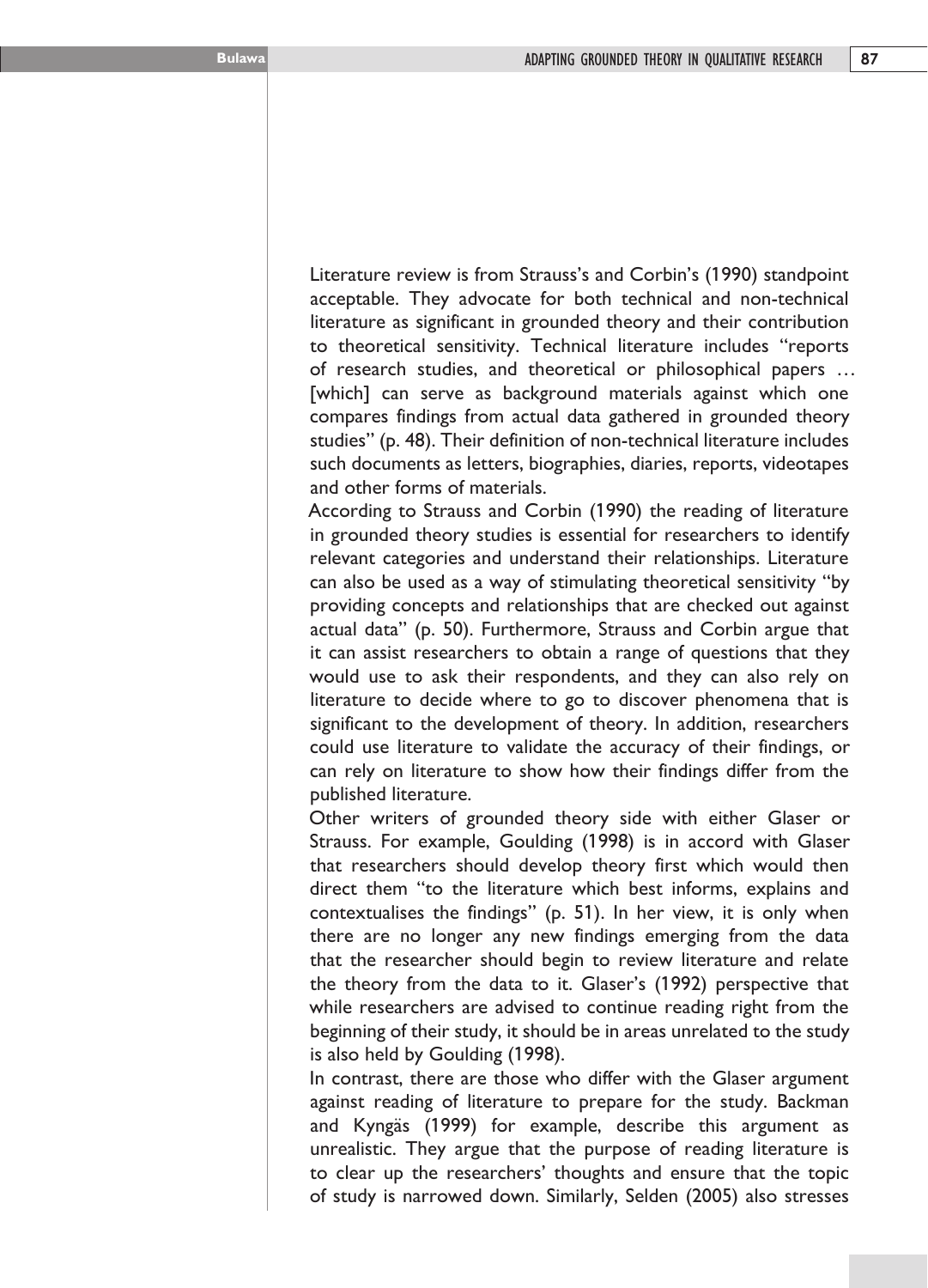Literature review is from Strauss's and Corbin's (1990) standpoint acceptable. They advocate for both technical and non-technical literature as significant in grounded theory and their contribution to theoretical sensitivity. Technical literature includes "reports of research studies, and theoretical or philosophical papers … [which] can serve as background materials against which one compares findings from actual data gathered in grounded theory studies" (p. 48). Their definition of non-technical literature includes such documents as letters, biographies, diaries, reports, videotapes and other forms of materials.

According to Strauss and Corbin (1990) the reading of literature in grounded theory studies is essential for researchers to identify relevant categories and understand their relationships. Literature can also be used as a way of stimulating theoretical sensitivity "by providing concepts and relationships that are checked out against actual data" (p. 50). Furthermore, Strauss and Corbin argue that it can assist researchers to obtain a range of questions that they would use to ask their respondents, and they can also rely on literature to decide where to go to discover phenomena that is significant to the development of theory. In addition, researchers could use literature to validate the accuracy of their findings, or can rely on literature to show how their findings differ from the published literature.

Other writers of grounded theory side with either Glaser or Strauss. For example, Goulding (1998) is in accord with Glaser that researchers should develop theory first which would then direct them "to the literature which best informs, explains and contextualises the findings" (p. 51). In her view, it is only when there are no longer any new findings emerging from the data that the researcher should begin to review literature and relate the theory from the data to it. Glaser's (1992) perspective that while researchers are advised to continue reading right from the beginning of their study, it should be in areas unrelated to the study is also held by Goulding (1998).

In contrast, there are those who differ with the Glaser argument against reading of literature to prepare for the study. Backman and Kyngäs (1999) for example, describe this argument as unrealistic. They argue that the purpose of reading literature is to clear up the researchers' thoughts and ensure that the topic of study is narrowed down. Similarly, Selden (2005) also stresses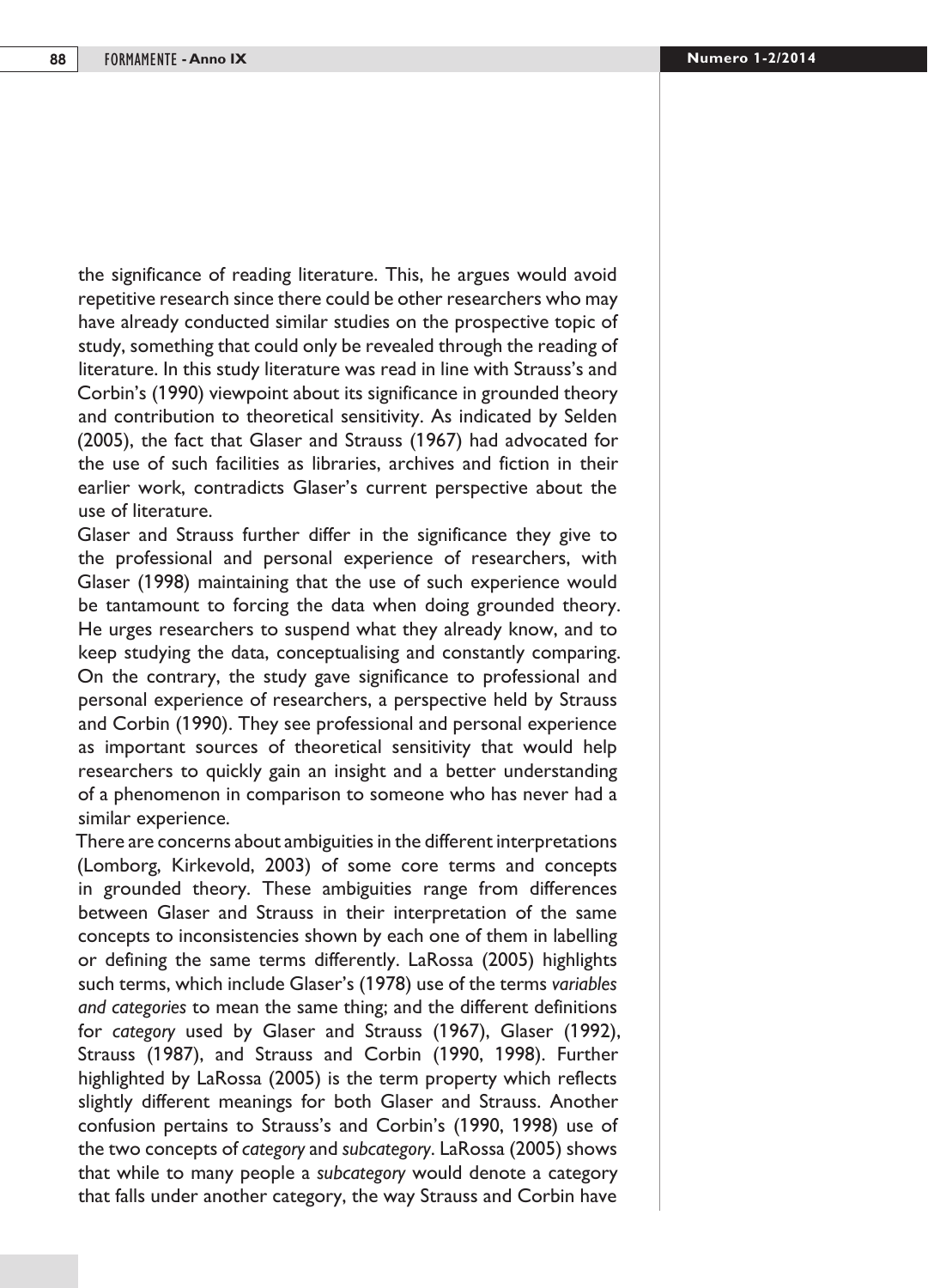the significance of reading literature. This, he argues would avoid repetitive research since there could be other researchers who may have already conducted similar studies on the prospective topic of study, something that could only be revealed through the reading of literature. In this study literature was read in line with Strauss's and Corbin's (1990) viewpoint about its significance in grounded theory and contribution to theoretical sensitivity. As indicated by Selden (2005), the fact that Glaser and Strauss (1967) had advocated for the use of such facilities as libraries, archives and fiction in their earlier work, contradicts Glaser's current perspective about the use of literature.

Glaser and Strauss further differ in the significance they give to the professional and personal experience of researchers, with Glaser (1998) maintaining that the use of such experience would be tantamount to forcing the data when doing grounded theory. He urges researchers to suspend what they already know, and to keep studying the data, conceptualising and constantly comparing. On the contrary, the study gave significance to professional and personal experience of researchers, a perspective held by Strauss and Corbin (1990). They see professional and personal experience as important sources of theoretical sensitivity that would help researchers to quickly gain an insight and a better understanding of a phenomenon in comparison to someone who has never had a similar experience.

There are concerns about ambiguities in the different interpretations (Lomborg, Kirkevold, 2003) of some core terms and concepts in grounded theory. These ambiguities range from differences between Glaser and Strauss in their interpretation of the same concepts to inconsistencies shown by each one of them in labelling or defining the same terms differently. LaRossa (2005) highlights such terms, which include Glaser's (1978) use of the terms *variables and categories* to mean the same thing; and the different definitions for *category* used by Glaser and Strauss (1967), Glaser (1992), Strauss (1987), and Strauss and Corbin (1990, 1998). Further highlighted by LaRossa (2005) is the term property which reflects slightly different meanings for both Glaser and Strauss. Another confusion pertains to Strauss's and Corbin's (1990, 1998) use of the two concepts of *category* and *subcategory*. LaRossa (2005) shows that while to many people a *subcategory* would denote a category that falls under another category, the way Strauss and Corbin have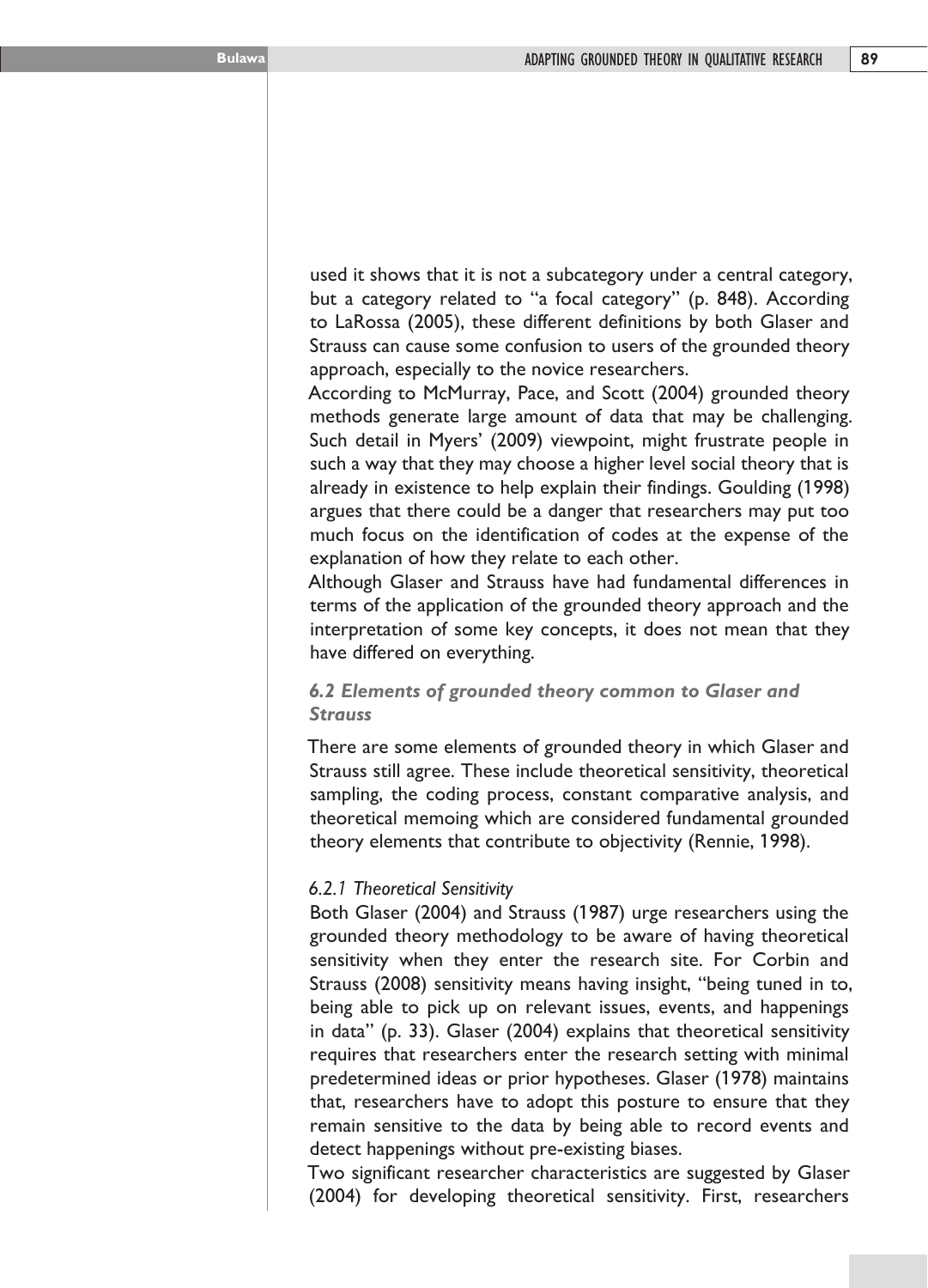used it shows that it is not a subcategory under a central category, but a category related to "a focal category" (p. 848). According to LaRossa (2005), these different definitions by both Glaser and Strauss can cause some confusion to users of the grounded theory approach, especially to the novice researchers.

According to McMurray, Pace, and Scott (2004) grounded theory methods generate large amount of data that may be challenging. Such detail in Myers' (2009) viewpoint, might frustrate people in such a way that they may choose a higher level social theory that is already in existence to help explain their findings. Goulding (1998) argues that there could be a danger that researchers may put too much focus on the identification of codes at the expense of the explanation of how they relate to each other.

Although Glaser and Strauss have had fundamental differences in terms of the application of the grounded theory approach and the interpretation of some key concepts, it does not mean that they have differed on everything.

## *6.2 Elements of grounded theory common to Glaser and Strauss*

There are some elements of grounded theory in which Glaser and Strauss still agree. These include theoretical sensitivity, theoretical sampling, the coding process, constant comparative analysis, and theoretical memoing which are considered fundamental grounded theory elements that contribute to objectivity (Rennie, 1998).

#### *6.2.1 Theoretical Sensitivity*

Both Glaser (2004) and Strauss (1987) urge researchers using the grounded theory methodology to be aware of having theoretical sensitivity when they enter the research site. For Corbin and Strauss (2008) sensitivity means having insight, "being tuned in to, being able to pick up on relevant issues, events, and happenings in data" (p. 33). Glaser (2004) explains that theoretical sensitivity requires that researchers enter the research setting with minimal predetermined ideas or prior hypotheses. Glaser (1978) maintains that, researchers have to adopt this posture to ensure that they remain sensitive to the data by being able to record events and detect happenings without pre-existing biases.

Two significant researcher characteristics are suggested by Glaser (2004) for developing theoretical sensitivity. First, researchers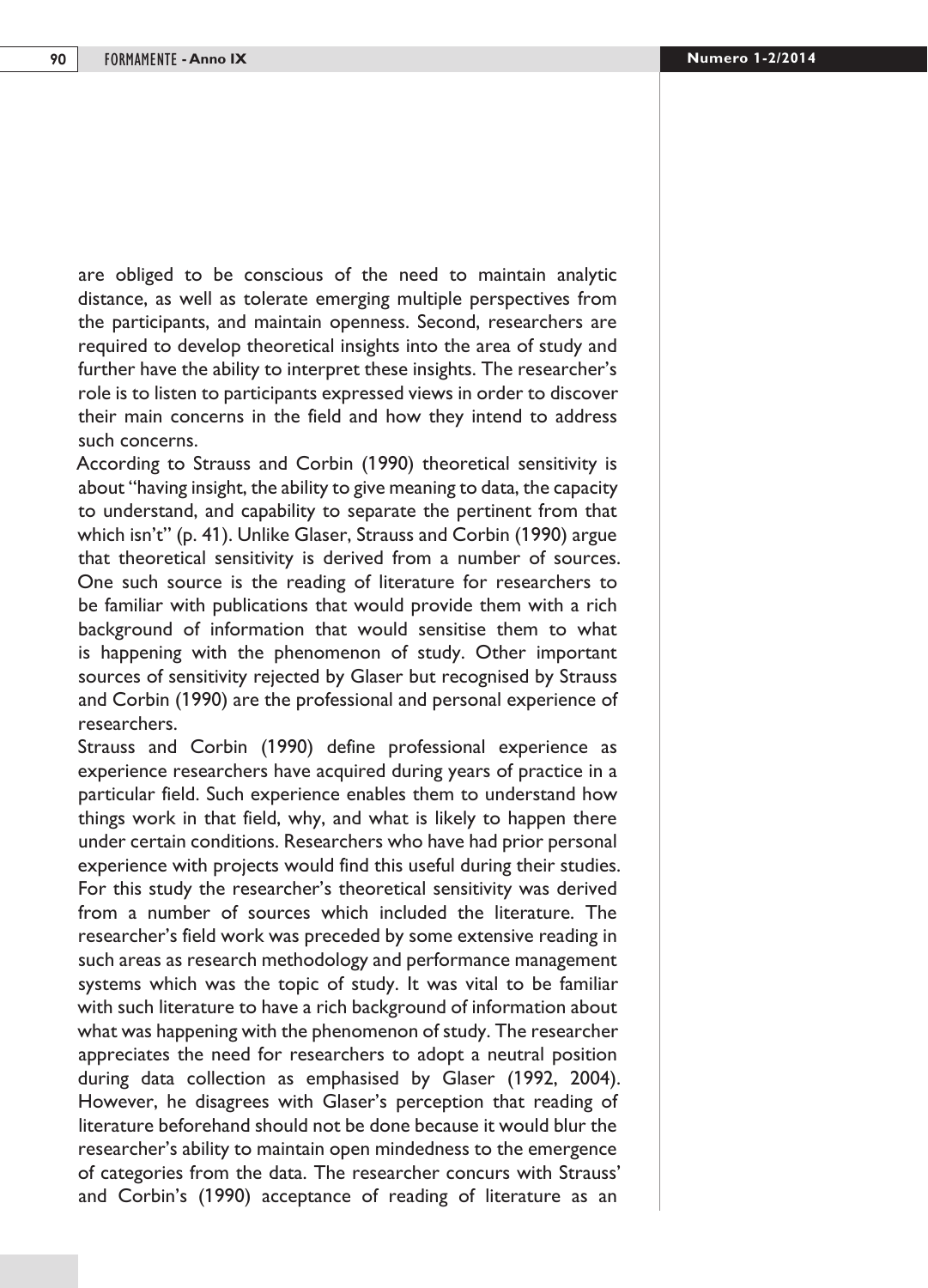are obliged to be conscious of the need to maintain analytic distance, as well as tolerate emerging multiple perspectives from the participants, and maintain openness. Second, researchers are required to develop theoretical insights into the area of study and further have the ability to interpret these insights. The researcher's role is to listen to participants expressed views in order to discover their main concerns in the field and how they intend to address such concerns.

According to Strauss and Corbin (1990) theoretical sensitivity is about "having insight, the ability to give meaning to data, the capacity to understand, and capability to separate the pertinent from that which isn't" (p. 41). Unlike Glaser, Strauss and Corbin (1990) argue that theoretical sensitivity is derived from a number of sources. One such source is the reading of literature for researchers to be familiar with publications that would provide them with a rich background of information that would sensitise them to what is happening with the phenomenon of study. Other important sources of sensitivity rejected by Glaser but recognised by Strauss and Corbin (1990) are the professional and personal experience of researchers.

Strauss and Corbin (1990) define professional experience as experience researchers have acquired during years of practice in a particular field. Such experience enables them to understand how things work in that field, why, and what is likely to happen there under certain conditions. Researchers who have had prior personal experience with projects would find this useful during their studies. For this study the researcher's theoretical sensitivity was derived from a number of sources which included the literature. The researcher's field work was preceded by some extensive reading in such areas as research methodology and performance management systems which was the topic of study. It was vital to be familiar with such literature to have a rich background of information about what was happening with the phenomenon of study. The researcher appreciates the need for researchers to adopt a neutral position during data collection as emphasised by Glaser (1992, 2004). However, he disagrees with Glaser's perception that reading of literature beforehand should not be done because it would blur the researcher's ability to maintain open mindedness to the emergence of categories from the data. The researcher concurs with Strauss' and Corbin's (1990) acceptance of reading of literature as an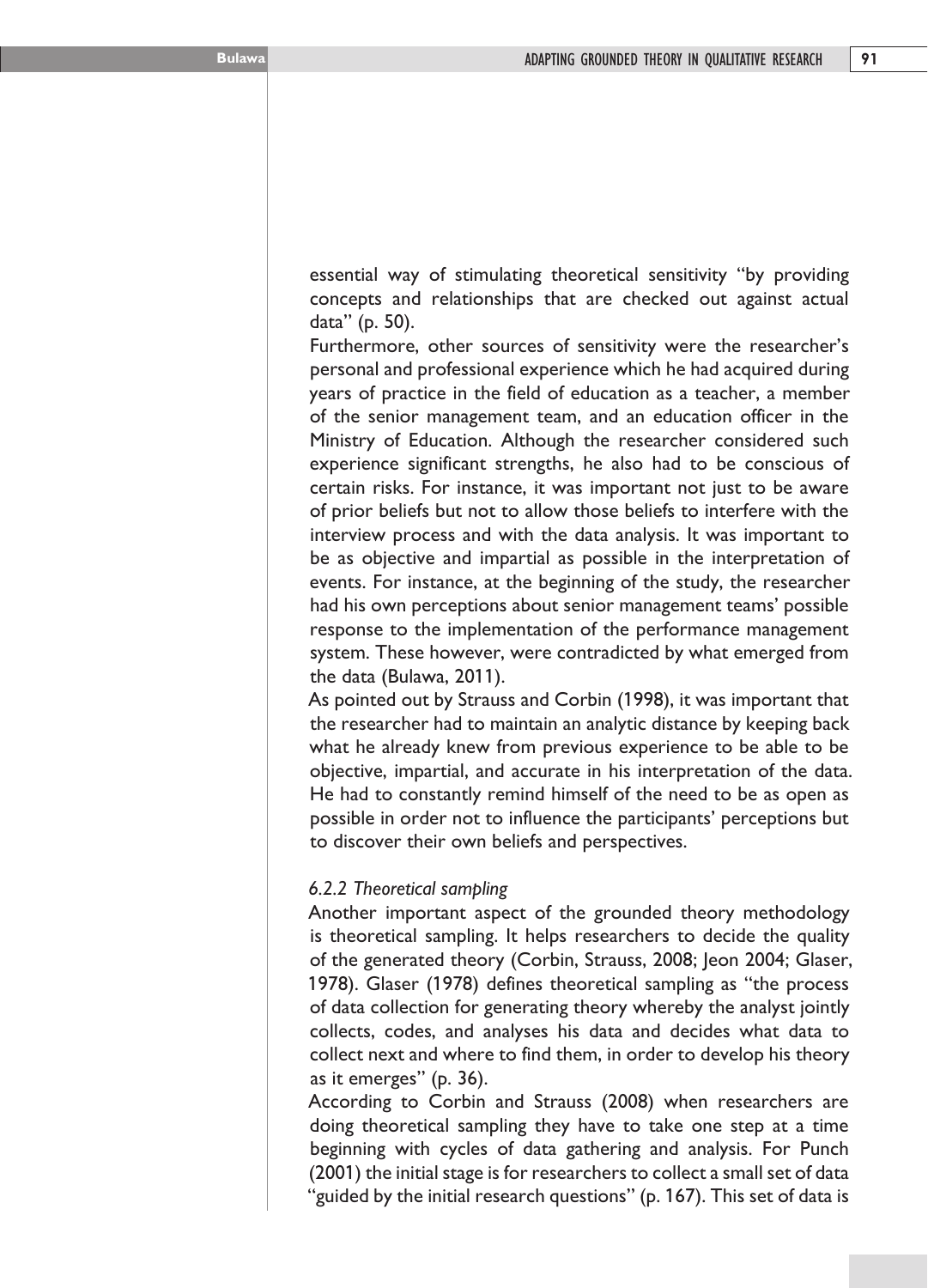essential way of stimulating theoretical sensitivity "by providing concepts and relationships that are checked out against actual data" (p. 50).

Furthermore, other sources of sensitivity were the researcher's personal and professional experience which he had acquired during years of practice in the field of education as a teacher, a member of the senior management team, and an education officer in the Ministry of Education. Although the researcher considered such experience significant strengths, he also had to be conscious of certain risks. For instance, it was important not just to be aware of prior beliefs but not to allow those beliefs to interfere with the interview process and with the data analysis. It was important to be as objective and impartial as possible in the interpretation of events. For instance, at the beginning of the study, the researcher had his own perceptions about senior management teams' possible response to the implementation of the performance management system. These however, were contradicted by what emerged from the data (Bulawa, 2011).

As pointed out by Strauss and Corbin (1998), it was important that the researcher had to maintain an analytic distance by keeping back what he already knew from previous experience to be able to be objective, impartial, and accurate in his interpretation of the data. He had to constantly remind himself of the need to be as open as possible in order not to influence the participants' perceptions but to discover their own beliefs and perspectives.

#### *6.2.2 Theoretical sampling*

Another important aspect of the grounded theory methodology is theoretical sampling. It helps researchers to decide the quality of the generated theory (Corbin, Strauss, 2008; Jeon 2004; Glaser, 1978). Glaser (1978) defines theoretical sampling as "the process of data collection for generating theory whereby the analyst jointly collects, codes, and analyses his data and decides what data to collect next and where to find them, in order to develop his theory as it emerges" (p. 36).

According to Corbin and Strauss (2008) when researchers are doing theoretical sampling they have to take one step at a time beginning with cycles of data gathering and analysis. For Punch (2001) the initial stage is for researchers to collect a small set of data "guided by the initial research questions" (p. 167). This set of data is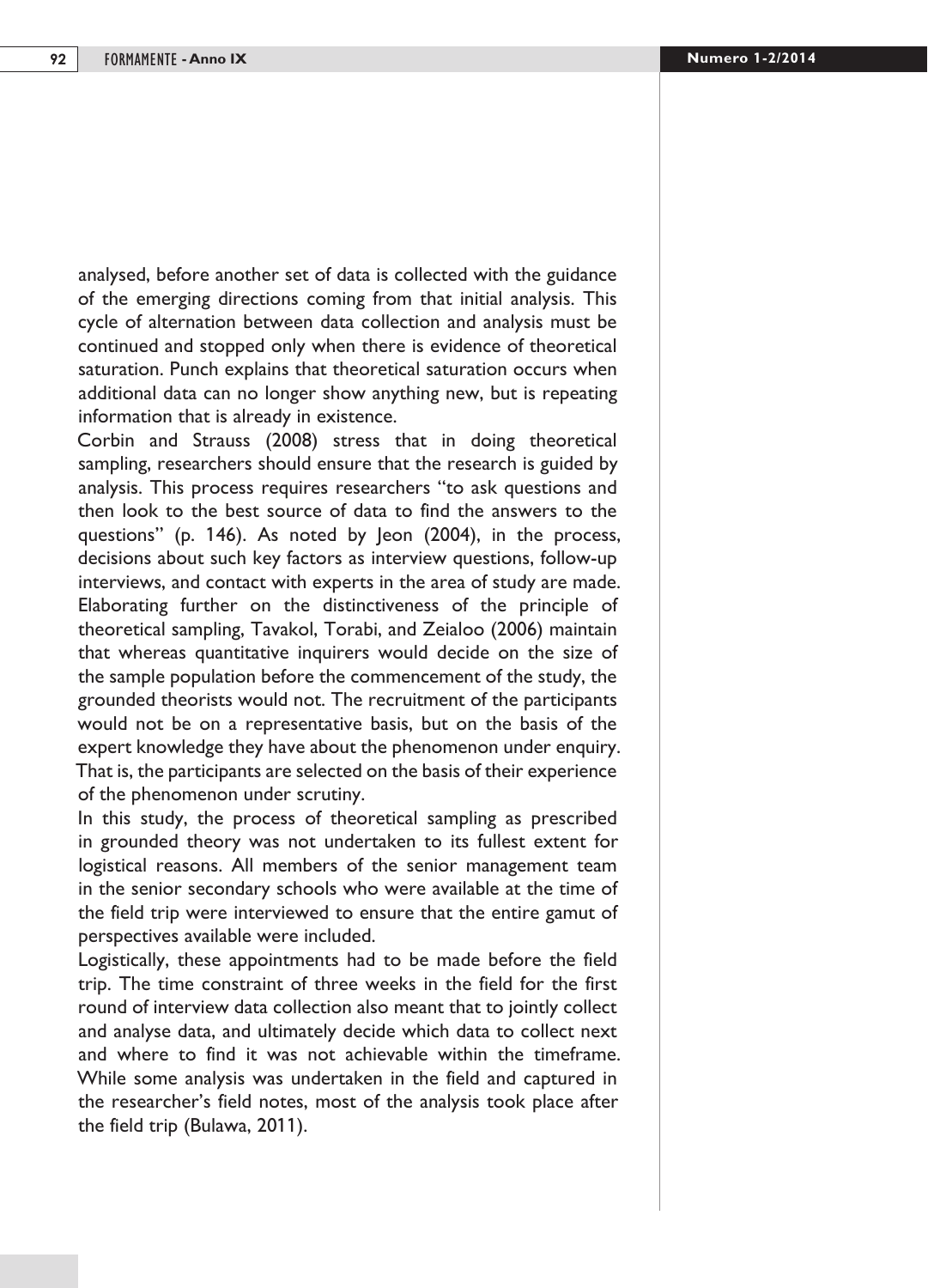analysed, before another set of data is collected with the guidance of the emerging directions coming from that initial analysis. This cycle of alternation between data collection and analysis must be continued and stopped only when there is evidence of theoretical saturation. Punch explains that theoretical saturation occurs when additional data can no longer show anything new, but is repeating information that is already in existence.

Corbin and Strauss (2008) stress that in doing theoretical sampling, researchers should ensure that the research is guided by analysis. This process requires researchers "to ask questions and then look to the best source of data to find the answers to the questions" (p. 146). As noted by Jeon (2004), in the process, decisions about such key factors as interview questions, follow-up interviews, and contact with experts in the area of study are made. Elaborating further on the distinctiveness of the principle of theoretical sampling, Tavakol, Torabi, and Zeialoo (2006) maintain that whereas quantitative inquirers would decide on the size of the sample population before the commencement of the study, the grounded theorists would not. The recruitment of the participants would not be on a representative basis, but on the basis of the expert knowledge they have about the phenomenon under enquiry. That is, the participants are selected on the basis of their experience of the phenomenon under scrutiny.

In this study, the process of theoretical sampling as prescribed in grounded theory was not undertaken to its fullest extent for logistical reasons. All members of the senior management team in the senior secondary schools who were available at the time of the field trip were interviewed to ensure that the entire gamut of perspectives available were included.

Logistically, these appointments had to be made before the field trip. The time constraint of three weeks in the field for the first round of interview data collection also meant that to jointly collect and analyse data, and ultimately decide which data to collect next and where to find it was not achievable within the timeframe. While some analysis was undertaken in the field and captured in the researcher's field notes, most of the analysis took place after the field trip (Bulawa, 2011).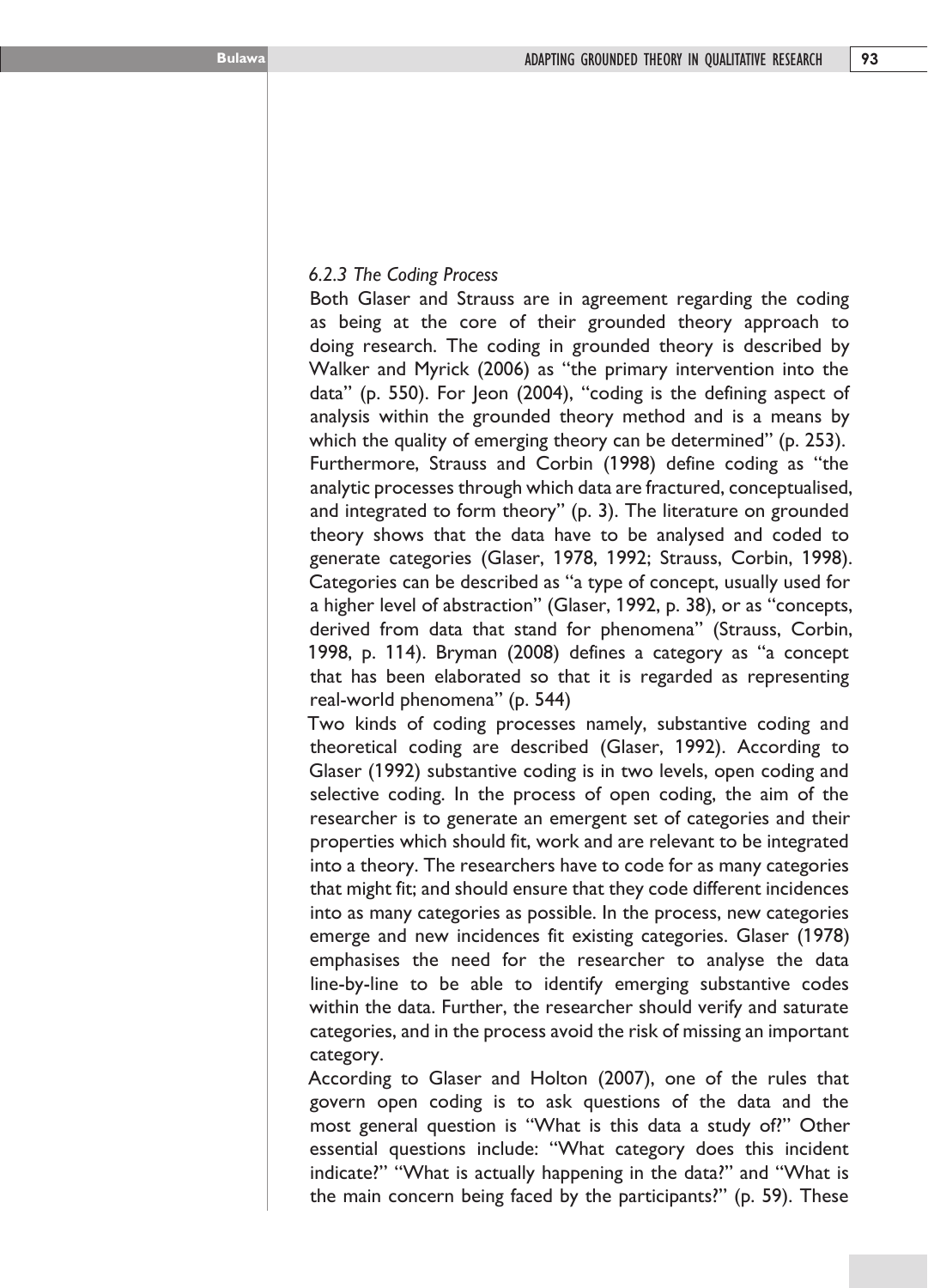### *6.2.3 The Coding Process*

Both Glaser and Strauss are in agreement regarding the coding as being at the core of their grounded theory approach to doing research. The coding in grounded theory is described by Walker and Myrick (2006) as "the primary intervention into the data" (p. 550). For Jeon (2004), "coding is the defining aspect of analysis within the grounded theory method and is a means by which the quality of emerging theory can be determined" (p. 253). Furthermore, Strauss and Corbin (1998) define coding as "the analytic processes through which data are fractured, conceptualised, and integrated to form theory" (p. 3). The literature on grounded theory shows that the data have to be analysed and coded to generate categories (Glaser, 1978, 1992; Strauss, Corbin, 1998). Categories can be described as "a type of concept, usually used for a higher level of abstraction" (Glaser, 1992, p. 38), or as "concepts, derived from data that stand for phenomena" (Strauss, Corbin, 1998, p. 114). Bryman (2008) defines a category as "a concept that has been elaborated so that it is regarded as representing real-world phenomena" (p. 544)

Two kinds of coding processes namely, substantive coding and theoretical coding are described (Glaser, 1992). According to Glaser (1992) substantive coding is in two levels, open coding and selective coding. In the process of open coding, the aim of the researcher is to generate an emergent set of categories and their properties which should fit, work and are relevant to be integrated into a theory. The researchers have to code for as many categories that might fit; and should ensure that they code different incidences into as many categories as possible. In the process, new categories emerge and new incidences fit existing categories. Glaser (1978) emphasises the need for the researcher to analyse the data line-by-line to be able to identify emerging substantive codes within the data. Further, the researcher should verify and saturate categories, and in the process avoid the risk of missing an important category.

According to Glaser and Holton (2007), one of the rules that govern open coding is to ask questions of the data and the most general question is "What is this data a study of?" Other essential questions include: "What category does this incident indicate?" "What is actually happening in the data?" and "What is the main concern being faced by the participants?" (p. 59). These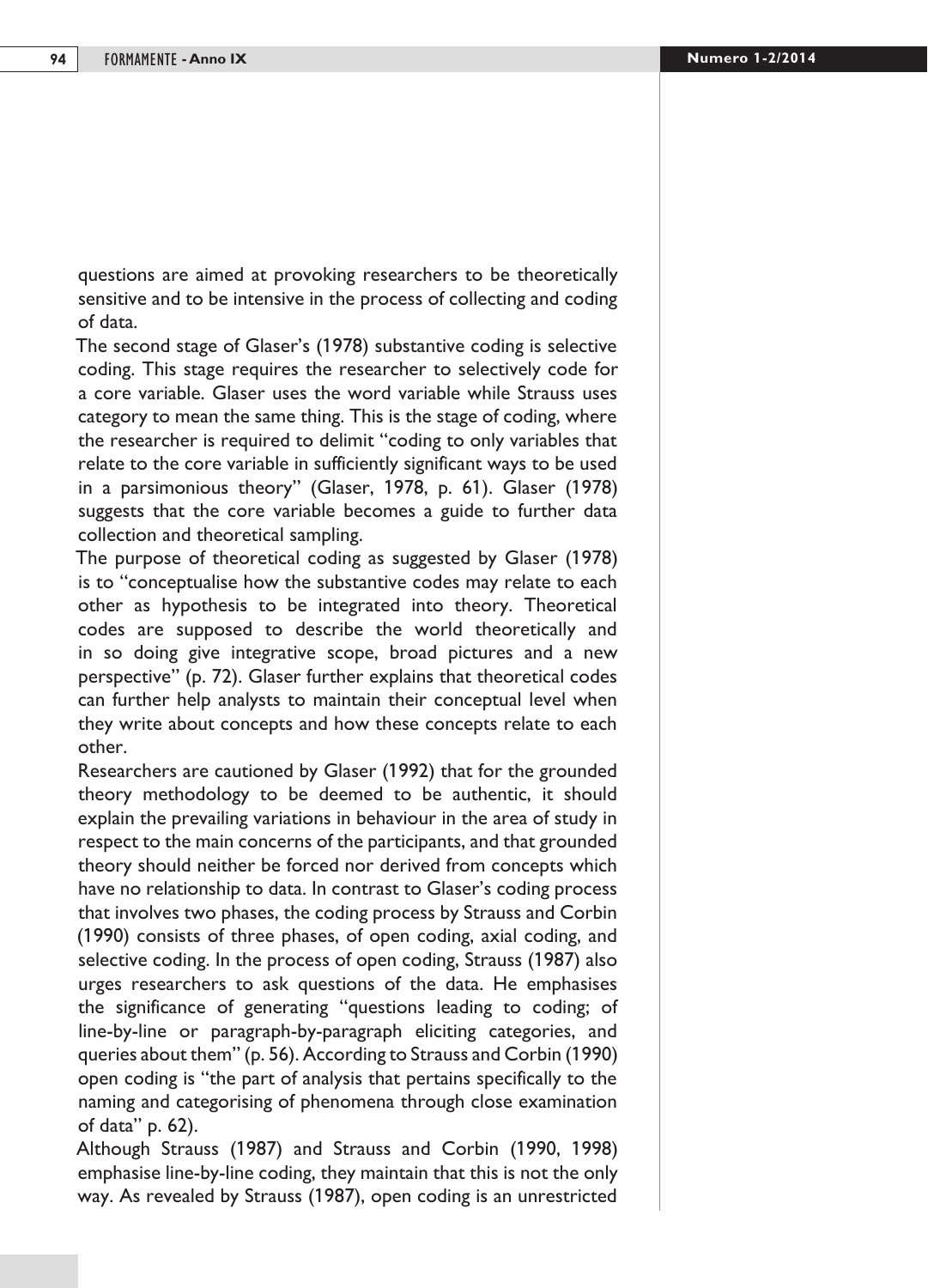questions are aimed at provoking researchers to be theoretically sensitive and to be intensive in the process of collecting and coding of data.

The second stage of Glaser's (1978) substantive coding is selective coding. This stage requires the researcher to selectively code for a core variable. Glaser uses the word variable while Strauss uses category to mean the same thing. This is the stage of coding, where the researcher is required to delimit "coding to only variables that relate to the core variable in sufficiently significant ways to be used in a parsimonious theory" (Glaser, 1978, p. 61). Glaser (1978) suggests that the core variable becomes a guide to further data collection and theoretical sampling.

The purpose of theoretical coding as suggested by Glaser (1978) is to "conceptualise how the substantive codes may relate to each other as hypothesis to be integrated into theory. Theoretical codes are supposed to describe the world theoretically and in so doing give integrative scope, broad pictures and a new perspective" (p. 72). Glaser further explains that theoretical codes can further help analysts to maintain their conceptual level when they write about concepts and how these concepts relate to each other.

Researchers are cautioned by Glaser (1992) that for the grounded theory methodology to be deemed to be authentic, it should explain the prevailing variations in behaviour in the area of study in respect to the main concerns of the participants, and that grounded theory should neither be forced nor derived from concepts which have no relationship to data. In contrast to Glaser's coding process that involves two phases, the coding process by Strauss and Corbin (1990) consists of three phases, of open coding, axial coding, and selective coding. In the process of open coding, Strauss (1987) also urges researchers to ask questions of the data. He emphasises the significance of generating "questions leading to coding; of line-by-line or paragraph-by-paragraph eliciting categories, and queries about them" (p. 56). According to Strauss and Corbin (1990) open coding is "the part of analysis that pertains specifically to the naming and categorising of phenomena through close examination of data" p. 62).

Although Strauss (1987) and Strauss and Corbin (1990, 1998) emphasise line-by-line coding, they maintain that this is not the only way. As revealed by Strauss (1987), open coding is an unrestricted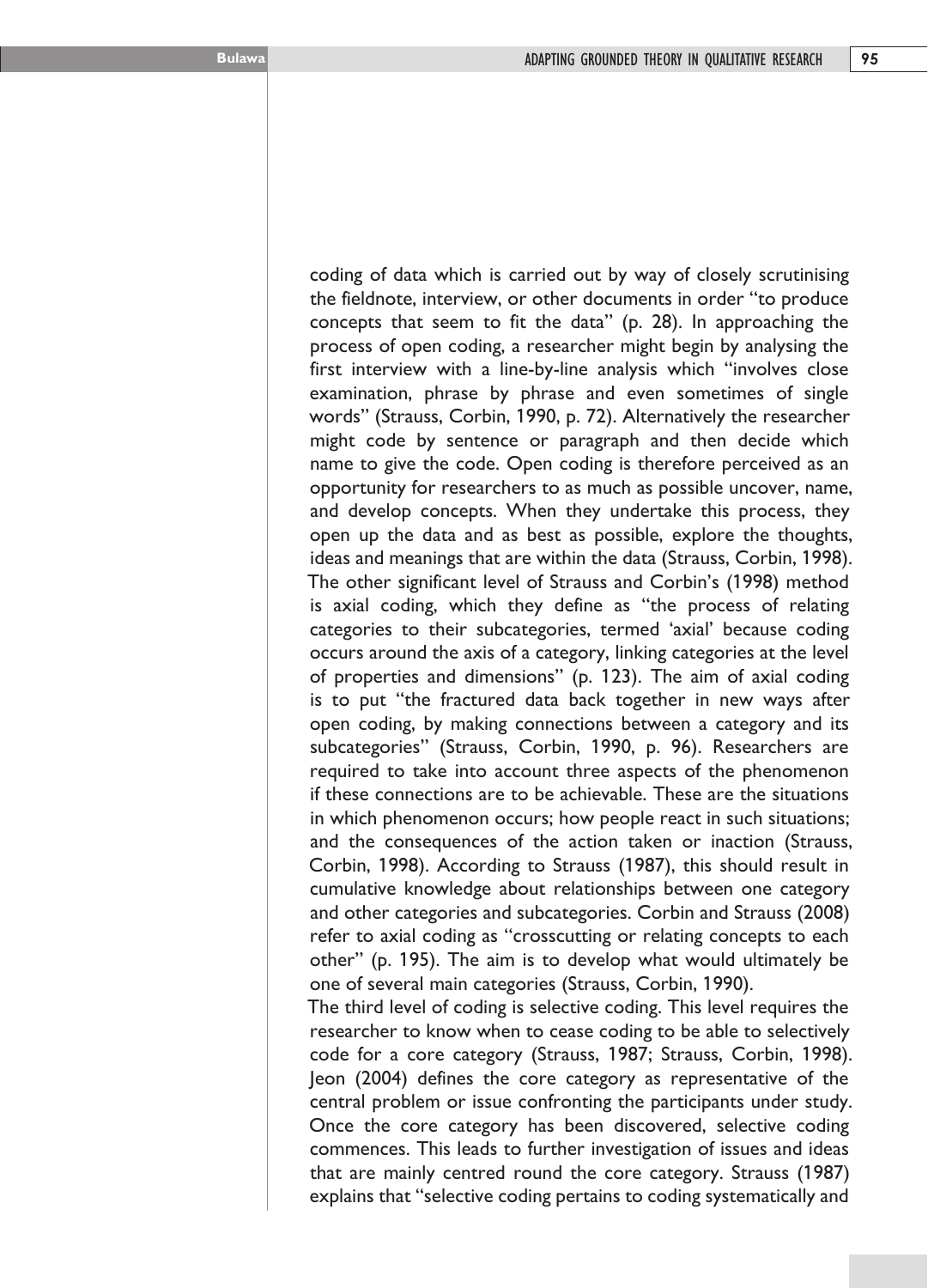the fieldnote, interview, or other documents in order "to produce concepts that seem to fit the data" (p. 28). In approaching the process of open coding, a researcher might begin by analysing the first interview with a line-by-line analysis which "involves close examination, phrase by phrase and even sometimes of single words" (Strauss, Corbin, 1990, p. 72). Alternatively the researcher might code by sentence or paragraph and then decide which name to give the code. Open coding is therefore perceived as an opportunity for researchers to as much as possible uncover, name, and develop concepts. When they undertake this process, they open up the data and as best as possible, explore the thoughts, ideas and meanings that are within the data (Strauss, Corbin, 1998). The other significant level of Strauss and Corbin's (1998) method is axial coding, which they define as "the process of relating categories to their subcategories, termed 'axial' because coding occurs around the axis of a category, linking categories at the level of properties and dimensions" (p. 123). The aim of axial coding is to put "the fractured data back together in new ways after open coding, by making connections between a category and its subcategories" (Strauss, Corbin, 1990, p. 96). Researchers are required to take into account three aspects of the phenomenon if these connections are to be achievable. These are the situations in which phenomenon occurs; how people react in such situations; and the consequences of the action taken or inaction (Strauss, Corbin, 1998). According to Strauss (1987), this should result in cumulative knowledge about relationships between one category and other categories and subcategories. Corbin and Strauss (2008) refer to axial coding as "crosscutting or relating concepts to each other" (p. 195). The aim is to develop what would ultimately be one of several main categories (Strauss, Corbin, 1990).

coding of data which is carried out by way of closely scrutinising

The third level of coding is selective coding. This level requires the researcher to know when to cease coding to be able to selectively code for a core category (Strauss, 1987; Strauss, Corbin, 1998). Jeon (2004) defines the core category as representative of the central problem or issue confronting the participants under study. Once the core category has been discovered, selective coding commences. This leads to further investigation of issues and ideas that are mainly centred round the core category. Strauss (1987) explains that "selective coding pertains to coding systematically and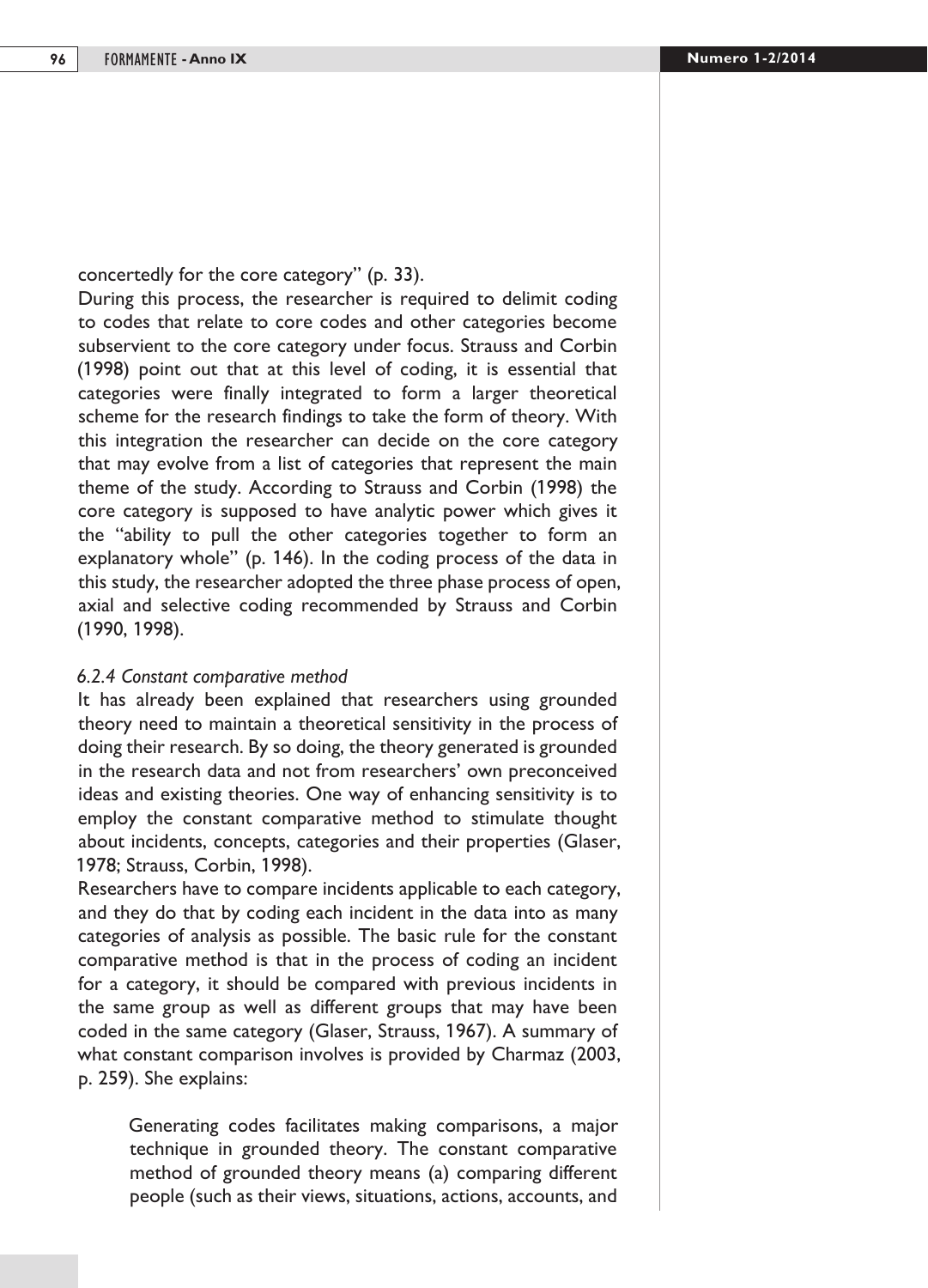concertedly for the core category" (p. 33).

During this process, the researcher is required to delimit coding to codes that relate to core codes and other categories become subservient to the core category under focus. Strauss and Corbin (1998) point out that at this level of coding, it is essential that categories were finally integrated to form a larger theoretical scheme for the research findings to take the form of theory. With this integration the researcher can decide on the core category that may evolve from a list of categories that represent the main theme of the study. According to Strauss and Corbin (1998) the core category is supposed to have analytic power which gives it the "ability to pull the other categories together to form an explanatory whole" (p. 146). In the coding process of the data in this study, the researcher adopted the three phase process of open, axial and selective coding recommended by Strauss and Corbin (1990, 1998).

#### *6.2.4 Constant comparative method*

It has already been explained that researchers using grounded theory need to maintain a theoretical sensitivity in the process of doing their research. By so doing, the theory generated is grounded in the research data and not from researchers' own preconceived ideas and existing theories. One way of enhancing sensitivity is to employ the constant comparative method to stimulate thought about incidents, concepts, categories and their properties (Glaser, 1978; Strauss, Corbin, 1998).

Researchers have to compare incidents applicable to each category, and they do that by coding each incident in the data into as many categories of analysis as possible. The basic rule for the constant comparative method is that in the process of coding an incident for a category, it should be compared with previous incidents in the same group as well as different groups that may have been coded in the same category (Glaser, Strauss, 1967). A summary of what constant comparison involves is provided by Charmaz (2003, p. 259). She explains:

Generating codes facilitates making comparisons, a major technique in grounded theory. The constant comparative method of grounded theory means (a) comparing different people (such as their views, situations, actions, accounts, and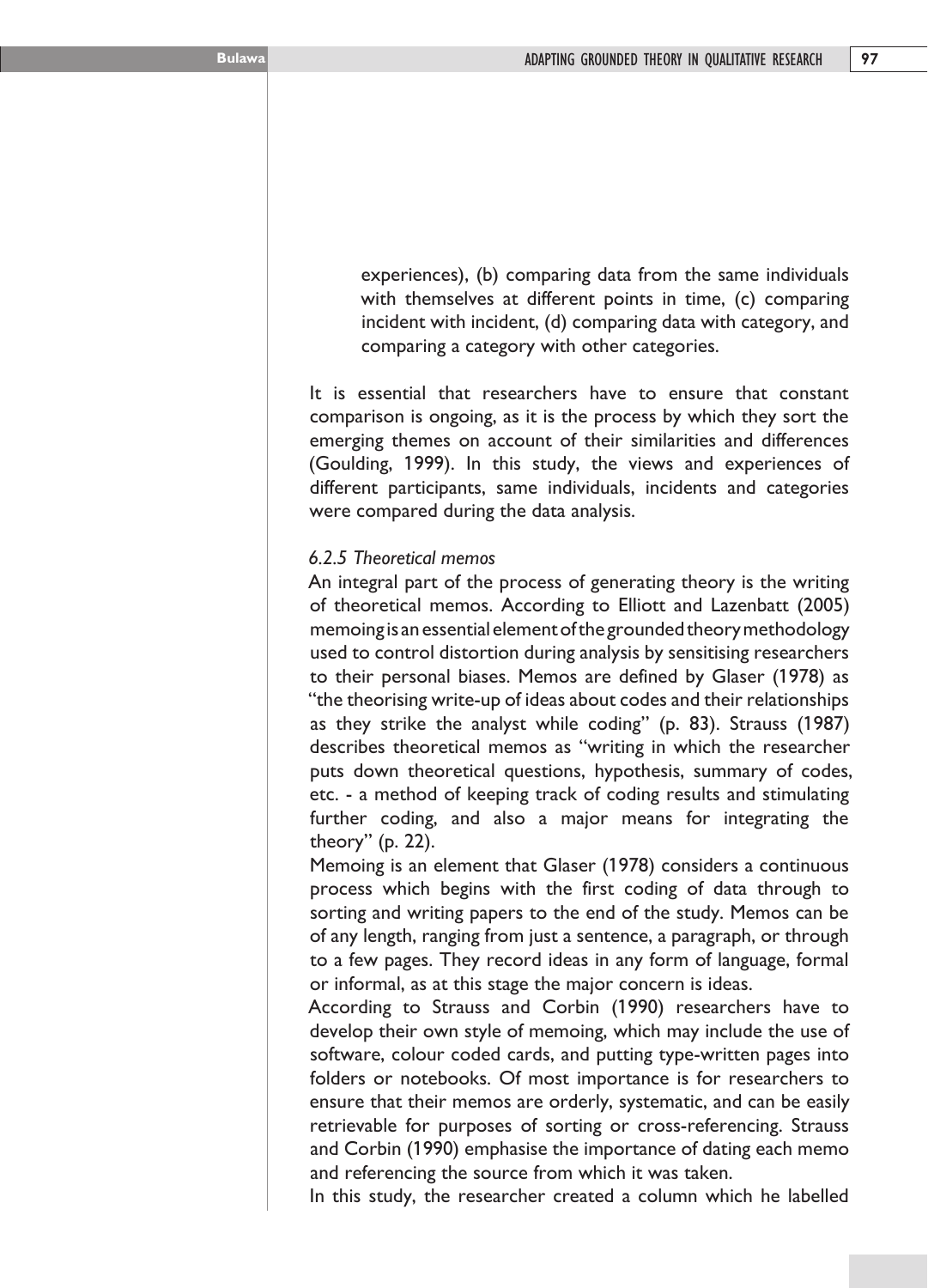experiences), (b) comparing data from the same individuals with themselves at different points in time, (c) comparing incident with incident, (d) comparing data with category, and comparing a category with other categories.

It is essential that researchers have to ensure that constant comparison is ongoing, as it is the process by which they sort the emerging themes on account of their similarities and differences (Goulding, 1999). In this study, the views and experiences of different participants, same individuals, incidents and categories were compared during the data analysis.

### *6.2.5 Theoretical memos*

An integral part of the process of generating theory is the writing of theoretical memos. According to Elliott and Lazenbatt (2005) memoing is an essential element of the grounded theory methodology used to control distortion during analysis by sensitising researchers to their personal biases. Memos are defined by Glaser (1978) as "the theorising write-up of ideas about codes and their relationships as they strike the analyst while coding" (p. 83). Strauss (1987) describes theoretical memos as "writing in which the researcher puts down theoretical questions, hypothesis, summary of codes, etc. - a method of keeping track of coding results and stimulating further coding, and also a major means for integrating the theory" (p. 22).

Memoing is an element that Glaser (1978) considers a continuous process which begins with the first coding of data through to sorting and writing papers to the end of the study. Memos can be of any length, ranging from just a sentence, a paragraph, or through to a few pages. They record ideas in any form of language, formal or informal, as at this stage the major concern is ideas.

According to Strauss and Corbin (1990) researchers have to develop their own style of memoing, which may include the use of software, colour coded cards, and putting type-written pages into folders or notebooks. Of most importance is for researchers to ensure that their memos are orderly, systematic, and can be easily retrievable for purposes of sorting or cross-referencing. Strauss and Corbin (1990) emphasise the importance of dating each memo and referencing the source from which it was taken.

In this study, the researcher created a column which he labelled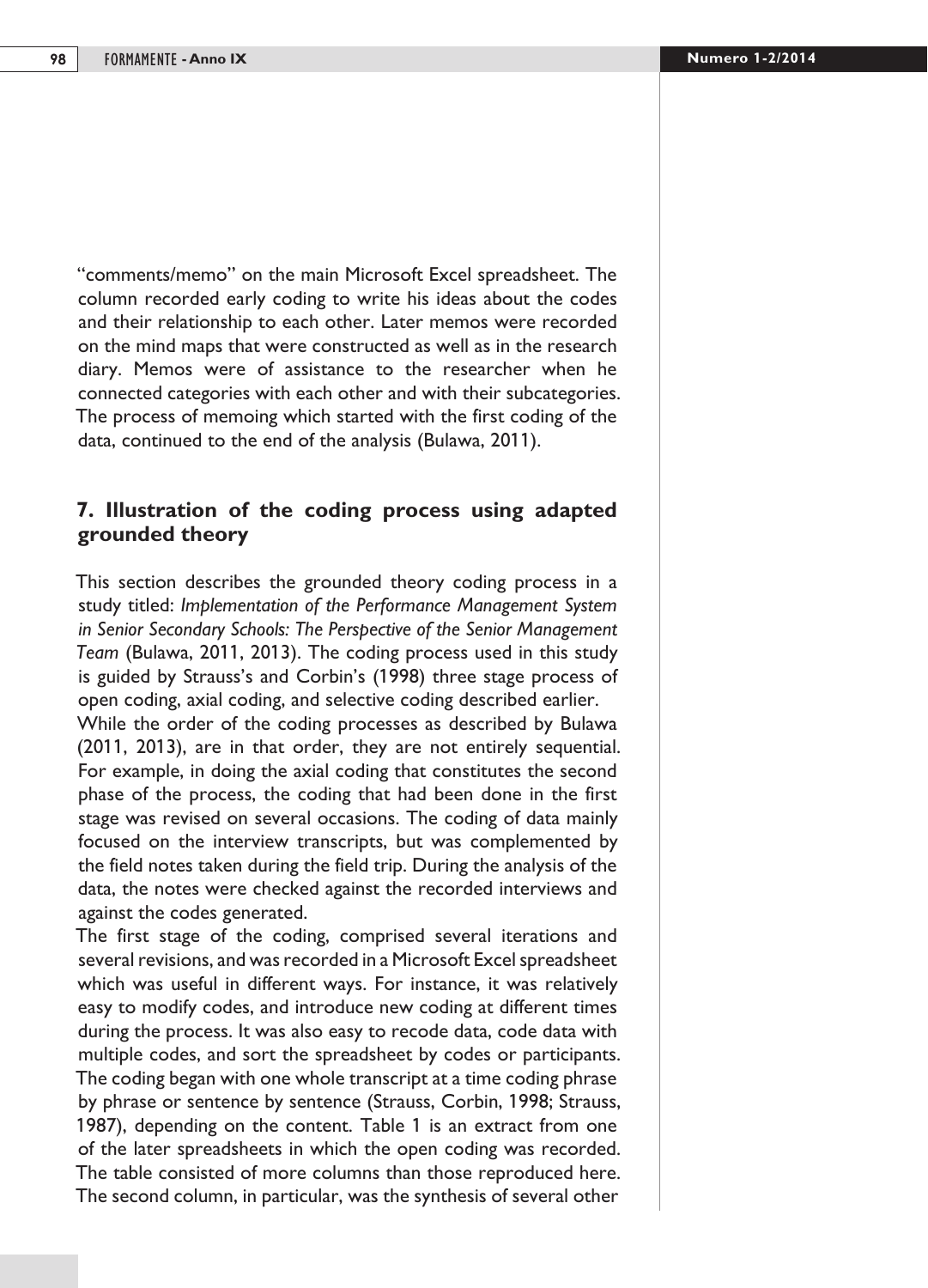"comments/memo" on the main Microsoft Excel spreadsheet. The column recorded early coding to write his ideas about the codes and their relationship to each other. Later memos were recorded on the mind maps that were constructed as well as in the research diary. Memos were of assistance to the researcher when he connected categories with each other and with their subcategories. The process of memoing which started with the first coding of the data, continued to the end of the analysis (Bulawa, 2011).

## **7. Illustration of the coding process using adapted grounded theory**

This section describes the grounded theory coding process in a study titled: *Implementation of the Performance Management System in Senior Secondary Schools: The Perspective of the Senior Management Team* (Bulawa, 2011, 2013). The coding process used in this study is guided by Strauss's and Corbin's (1998) three stage process of open coding, axial coding, and selective coding described earlier.

While the order of the coding processes as described by Bulawa (2011, 2013), are in that order, they are not entirely sequential. For example, in doing the axial coding that constitutes the second phase of the process, the coding that had been done in the first stage was revised on several occasions. The coding of data mainly focused on the interview transcripts, but was complemented by the field notes taken during the field trip. During the analysis of the data, the notes were checked against the recorded interviews and against the codes generated.

The first stage of the coding, comprised several iterations and several revisions, and was recorded in a Microsoft Excel spreadsheet which was useful in different ways. For instance, it was relatively easy to modify codes, and introduce new coding at different times during the process. It was also easy to recode data, code data with multiple codes, and sort the spreadsheet by codes or participants. The coding began with one whole transcript at a time coding phrase by phrase or sentence by sentence (Strauss, Corbin, 1998; Strauss, 1987), depending on the content. Table 1 is an extract from one of the later spreadsheets in which the open coding was recorded. The table consisted of more columns than those reproduced here. The second column, in particular, was the synthesis of several other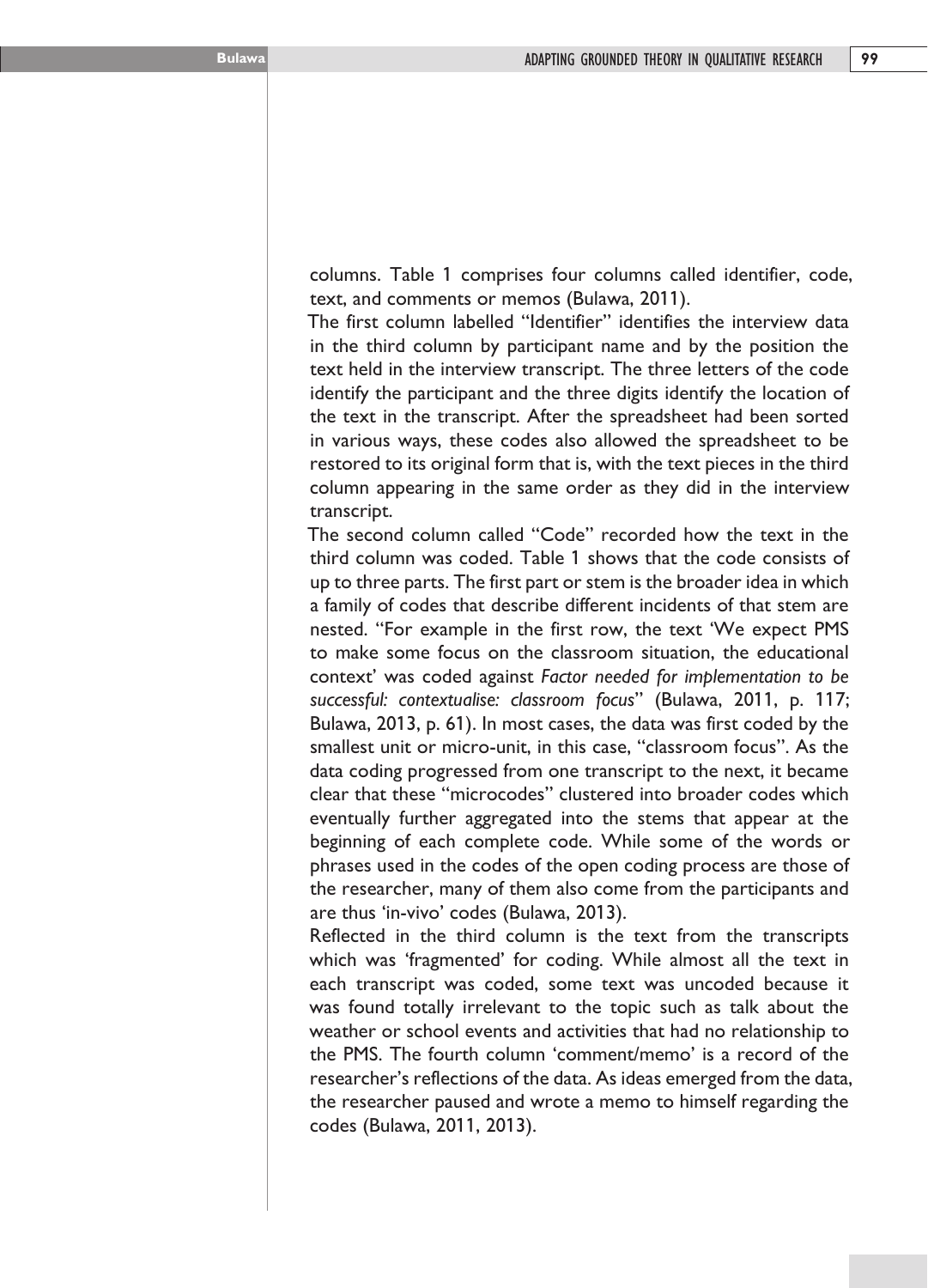columns. Table 1 comprises four columns called identifier, code, text, and comments or memos (Bulawa, 2011).

The first column labelled "Identifier" identifies the interview data in the third column by participant name and by the position the text held in the interview transcript. The three letters of the code identify the participant and the three digits identify the location of the text in the transcript. After the spreadsheet had been sorted in various ways, these codes also allowed the spreadsheet to be restored to its original form that is, with the text pieces in the third column appearing in the same order as they did in the interview transcript.

The second column called "Code" recorded how the text in the third column was coded. Table 1 shows that the code consists of up to three parts. The first part or stem is the broader idea in which a family of codes that describe different incidents of that stem are nested. "For example in the first row, the text 'We expect PMS to make some focus on the classroom situation, the educational context' was coded against *Factor needed for implementation to be successful: contextualise: classroom focus*" (Bulawa, 2011, p. 117; Bulawa, 2013, p. 61). In most cases, the data was first coded by the smallest unit or micro-unit, in this case, "classroom focus". As the data coding progressed from one transcript to the next, it became clear that these "microcodes" clustered into broader codes which eventually further aggregated into the stems that appear at the beginning of each complete code. While some of the words or phrases used in the codes of the open coding process are those of the researcher, many of them also come from the participants and are thus 'in-vivo' codes (Bulawa, 2013).

Reflected in the third column is the text from the transcripts which was 'fragmented' for coding. While almost all the text in each transcript was coded, some text was uncoded because it was found totally irrelevant to the topic such as talk about the weather or school events and activities that had no relationship to the PMS. The fourth column 'comment/memo' is a record of the researcher's reflections of the data. As ideas emerged from the data, the researcher paused and wrote a memo to himself regarding the codes (Bulawa, 2011, 2013).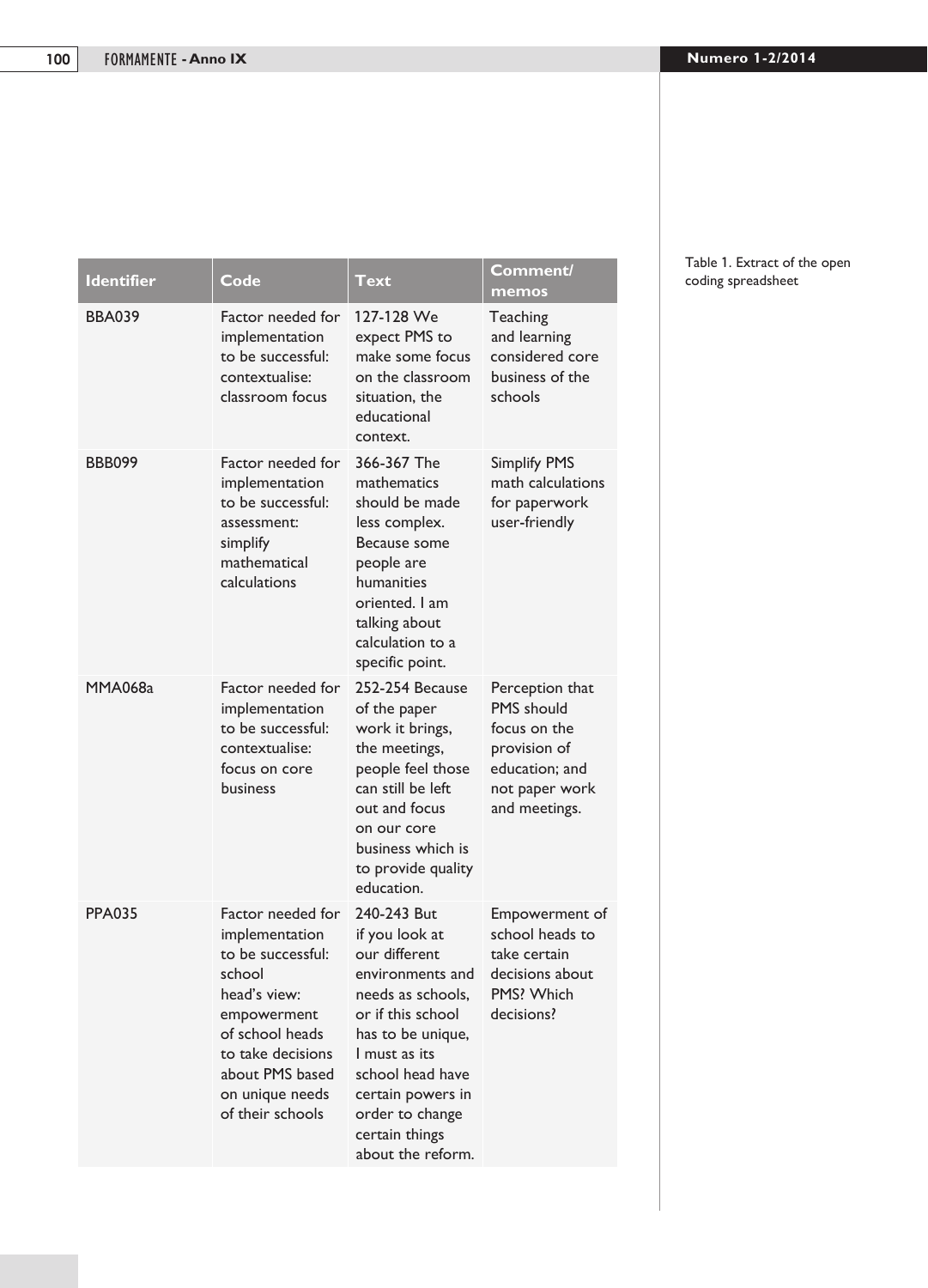| <b>Identifier</b> | Code                                                                                                                                                                                                | Text                                                                                                                                                                                                                                                  | Comment/<br>memos                                                                                                         |
|-------------------|-----------------------------------------------------------------------------------------------------------------------------------------------------------------------------------------------------|-------------------------------------------------------------------------------------------------------------------------------------------------------------------------------------------------------------------------------------------------------|---------------------------------------------------------------------------------------------------------------------------|
| <b>BBA039</b>     | Factor needed for<br>implementation<br>to be successful:<br>contextualise:<br>classroom focus                                                                                                       | 127-128 We<br>expect PMS to<br>make some focus<br>on the classroom<br>situation, the<br>educational<br>context.                                                                                                                                       | Teaching<br>and learning<br>considered core<br>business of the<br>schools                                                 |
| <b>BBB099</b>     | Factor needed for<br>implementation<br>to be successful:<br>assessment:<br>simplify<br>mathematical<br>calculations                                                                                 | 366-367 The<br>mathematics<br>should be made<br>less complex.<br>Because some<br>people are<br>humanities<br>oriented. I am<br>talking about<br>calculation to a<br>specific point.                                                                   | <b>Simplify PMS</b><br>math calculations<br>for paperwork<br>user-friendly                                                |
| <b>MMA068a</b>    | Factor needed for<br>implementation<br>to be successful:<br>contextualise:<br>focus on core<br>business                                                                                             | 252-254 Because<br>of the paper<br>work it brings,<br>the meetings,<br>people feel those<br>can still be left<br>out and focus<br>on our core<br>business which is<br>to provide quality<br>education.                                                | Perception that<br><b>PMS</b> should<br>focus on the<br>provision of<br>education; and<br>not paper work<br>and meetings. |
| <b>PPA035</b>     | Factor needed for<br>implementation<br>to be successful:<br>school<br>head's view:<br>empowerment<br>of school heads<br>to take decisions<br>about PMS based<br>on unique needs<br>of their schools | 240-243 But<br>if you look at<br>our different<br>environments and<br>needs as schools.<br>or if this school<br>has to be unique,<br>I must as its<br>school head have<br>certain powers in<br>order to change<br>certain things<br>about the reform. | Empowerment of<br>school heads to<br>take certain<br>decisions about<br>PMS? Which<br>decisions?                          |

#### Table 1. Extract of the open coding spreadsheet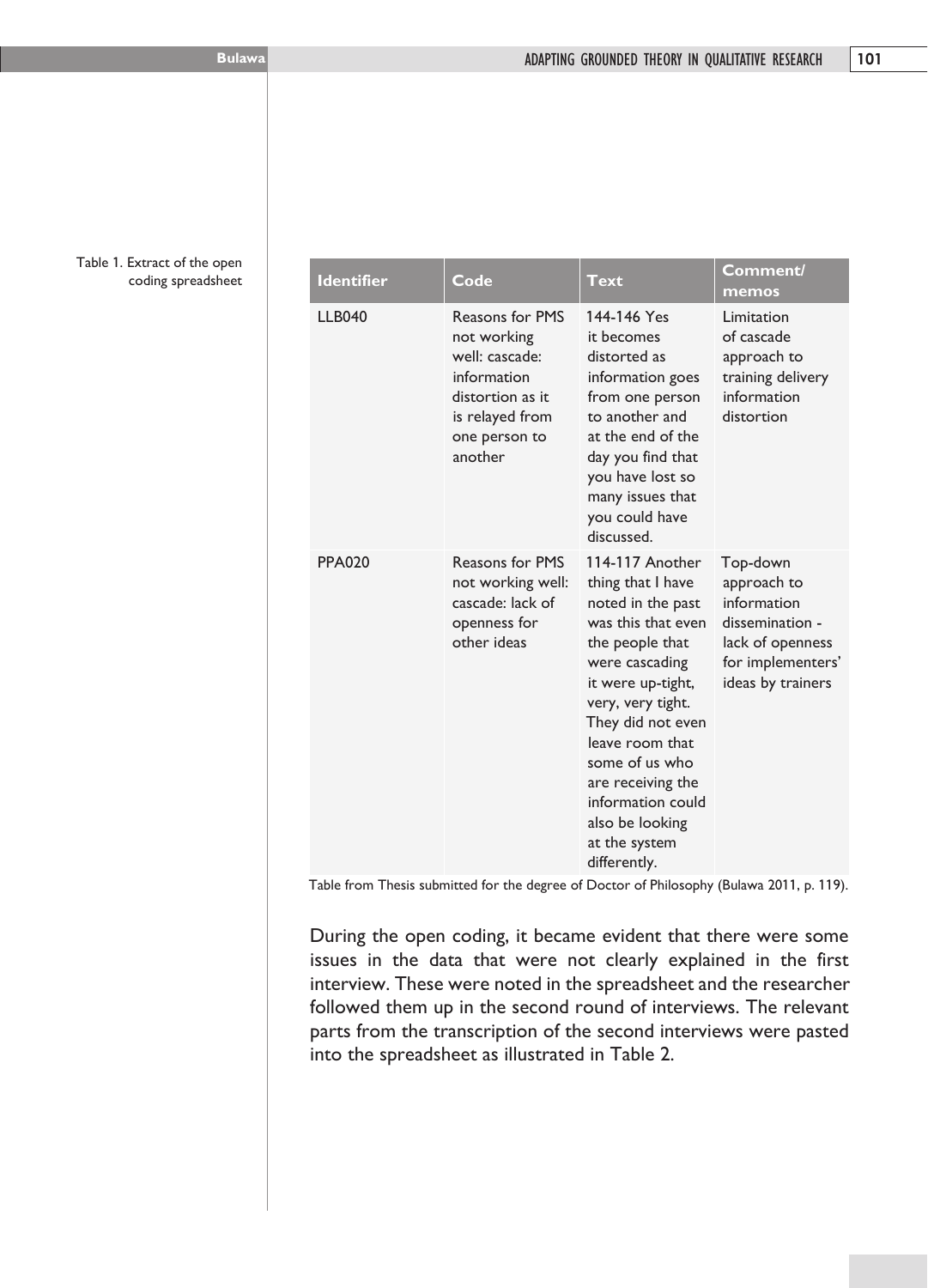Table 1. Extract of the open coding spreadsheet

| <b>Identifier</b> | Code                                                                                                                               | <b>Text</b>                                                                                                                                                                                                                                                                                                            | Comment/<br>memos                                                                                                       |
|-------------------|------------------------------------------------------------------------------------------------------------------------------------|------------------------------------------------------------------------------------------------------------------------------------------------------------------------------------------------------------------------------------------------------------------------------------------------------------------------|-------------------------------------------------------------------------------------------------------------------------|
| <b>LLB040</b>     | Reasons for PMS<br>not working<br>well: cascade:<br>information<br>distortion as it<br>is relayed from<br>one person to<br>another | 144-146 Yes<br>it becomes<br>distorted as<br>information goes<br>from one person<br>to another and<br>at the end of the<br>day you find that<br>you have lost so<br>many issues that<br>you could have<br>discussed.                                                                                                   | Limitation<br>of cascade<br>approach to<br>training delivery<br>information<br>distortion                               |
| <b>PPA020</b>     | <b>Reasons for PMS</b><br>not working well:<br>cascade: lack of<br>openness for<br>other ideas                                     | 114-117 Another<br>thing that I have<br>noted in the past<br>was this that even<br>the people that<br>were cascading<br>it were up-tight,<br>very, very tight.<br>They did not even<br>leave room that<br>some of us who<br>are receiving the<br>information could<br>also be looking<br>at the system<br>differently. | Top-down<br>approach to<br>information<br>dissemination -<br>lack of openness<br>for implementers'<br>ideas by trainers |

Table from Thesis submitted for the degree of Doctor of Philosophy (Bulawa 2011, p. 119).

During the open coding, it became evident that there were some issues in the data that were not clearly explained in the first interview. These were noted in the spreadsheet and the researcher followed them up in the second round of interviews. The relevant parts from the transcription of the second interviews were pasted into the spreadsheet as illustrated in Table 2.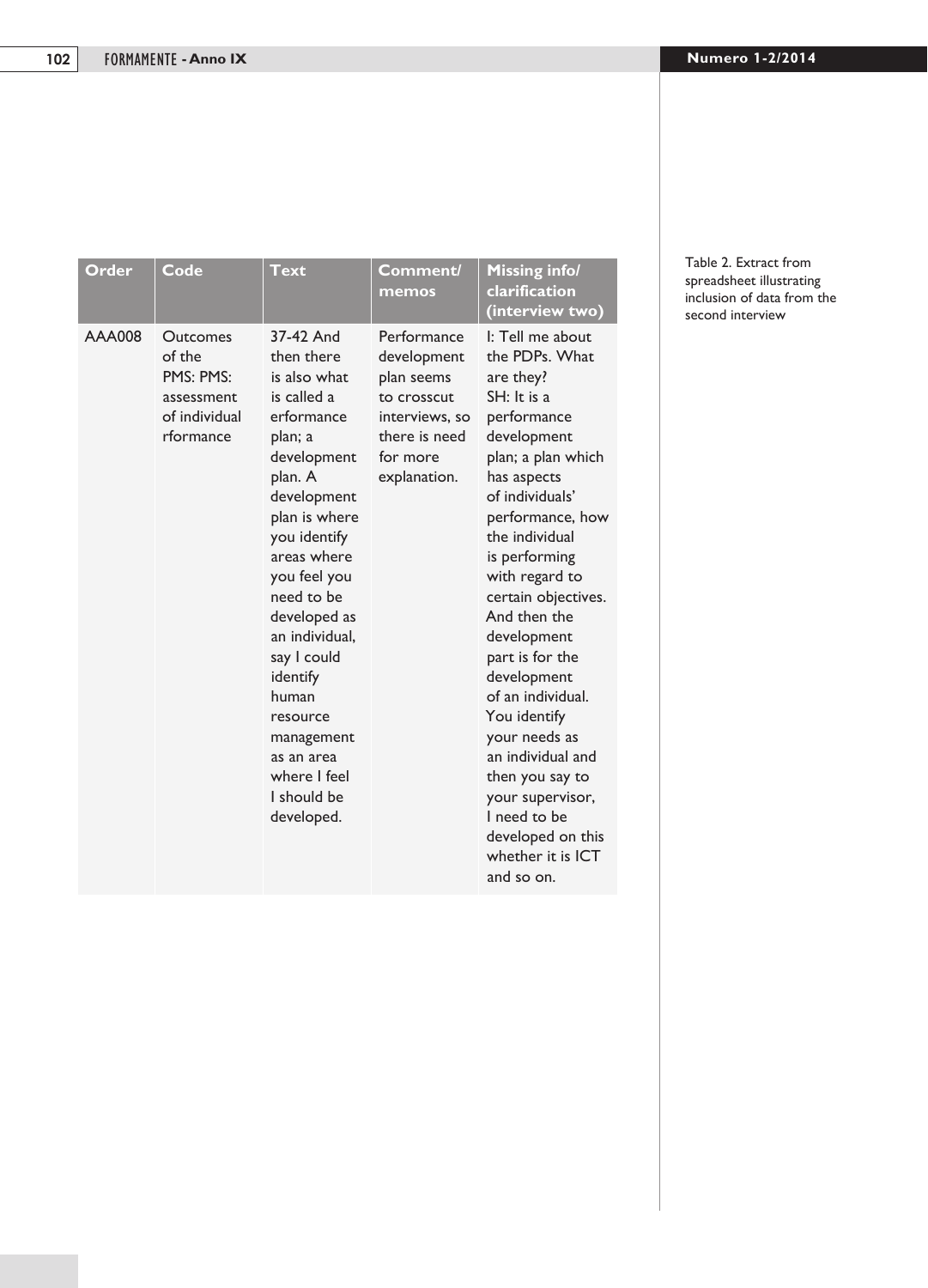| Order  | Code                                                                        | Text                                                                                                                                                                                                                                                                                                                                                              | Comment/<br>memos                                                                                                      | <b>Missing info/</b><br>clarification<br>(interview two)                                                                                                                                                                                                                                                                                                                                                                                                                                                          |
|--------|-----------------------------------------------------------------------------|-------------------------------------------------------------------------------------------------------------------------------------------------------------------------------------------------------------------------------------------------------------------------------------------------------------------------------------------------------------------|------------------------------------------------------------------------------------------------------------------------|-------------------------------------------------------------------------------------------------------------------------------------------------------------------------------------------------------------------------------------------------------------------------------------------------------------------------------------------------------------------------------------------------------------------------------------------------------------------------------------------------------------------|
| AAA008 | Outcomes<br>of the<br>PMS: PMS:<br>assessment<br>of individual<br>rformance | 37-42 And<br>then there<br>is also what<br>is called a<br>erformance<br>plan; a<br>development<br>plan. A<br>development<br>plan is where<br>you identify<br>areas where<br>you feel you<br>need to be<br>developed as<br>an individual.<br>say I could<br>identify<br>human<br>resource<br>management<br>as an area<br>where I feel<br>I should be<br>developed. | Performance<br>development<br>plan seems<br>to crosscut<br>interviews, so<br>there is need<br>for more<br>explanation. | I: Tell me about<br>the PDPs. What<br>are they?<br>$SH:$ It is a<br>performance<br>development<br>plan; a plan which<br>has aspects<br>of individuals'<br>performance, how<br>the individual<br>is performing<br>with regard to<br>certain objectives.<br>And then the<br>development<br>part is for the<br>development<br>of an individual.<br>You identify<br>your needs as<br>an individual and<br>then you say to<br>your supervisor,<br>I need to be<br>developed on this<br>whether it is ICT<br>and so on. |

#### Table 2. Extract from spreadsheet illustrating inclusion of data from the second interview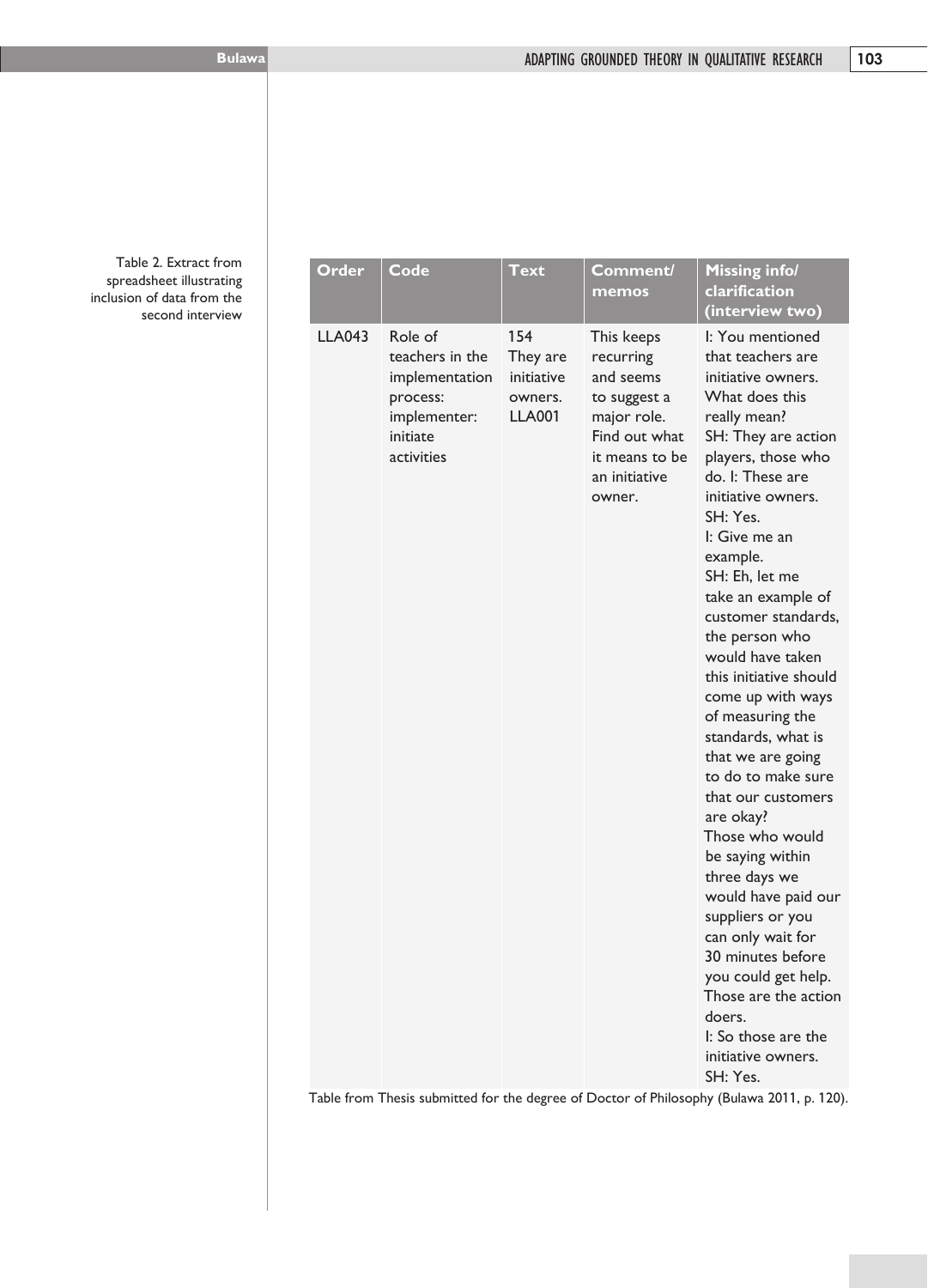Table 2. Extract from spreadsheet illustrating inclusion of data from the second interview

| Order         | Code                                                                                               | <b>Text</b>                                               | Comment/<br>memos                                                                                                                 | Missing infol<br>clarification<br>(interview two)                                                                                                                                                                                                                                                                                                                                                                                                                                                                                                                                                                                                                                                                                                                        |
|---------------|----------------------------------------------------------------------------------------------------|-----------------------------------------------------------|-----------------------------------------------------------------------------------------------------------------------------------|--------------------------------------------------------------------------------------------------------------------------------------------------------------------------------------------------------------------------------------------------------------------------------------------------------------------------------------------------------------------------------------------------------------------------------------------------------------------------------------------------------------------------------------------------------------------------------------------------------------------------------------------------------------------------------------------------------------------------------------------------------------------------|
| <b>LLA043</b> | Role of<br>teachers in the<br>implementation<br>process:<br>implementer:<br>initiate<br>activities | 154<br>They are<br>initiative<br>owners.<br><b>LLA001</b> | This keeps<br>recurring<br>and seems<br>to suggest a<br>major role.<br>Find out what<br>it means to be<br>an initiative<br>owner. | I: You mentioned<br>that teachers are<br>initiative owners.<br>What does this<br>really mean?<br>SH: They are action<br>players, those who<br>do. I: These are<br>initiative owners.<br>SH: Yes.<br>I: Give me an<br>example.<br>SH: Eh, let me<br>take an example of<br>customer standards,<br>the person who<br>would have taken<br>this initiative should<br>come up with ways<br>of measuring the<br>standards, what is<br>that we are going<br>to do to make sure<br>that our customers<br>are okay?<br>Those who would<br>be saying within<br>three days we<br>would have paid our<br>suppliers or you<br>can only wait for<br>30 minutes before<br>you could get help.<br>Those are the action<br>doers.<br>I: So those are the<br>initiative owners.<br>SH: Yes. |
|               |                                                                                                    |                                                           |                                                                                                                                   | Table from Thesis submitted for the degree of Doctor of Philosophy (Bulawa 2011 p. 120)                                                                                                                                                                                                                                                                                                                                                                                                                                                                                                                                                                                                                                                                                  |

Table from Thesis submitted for the degree of Doctor of Philosophy (Bulawa 2011, p. 120).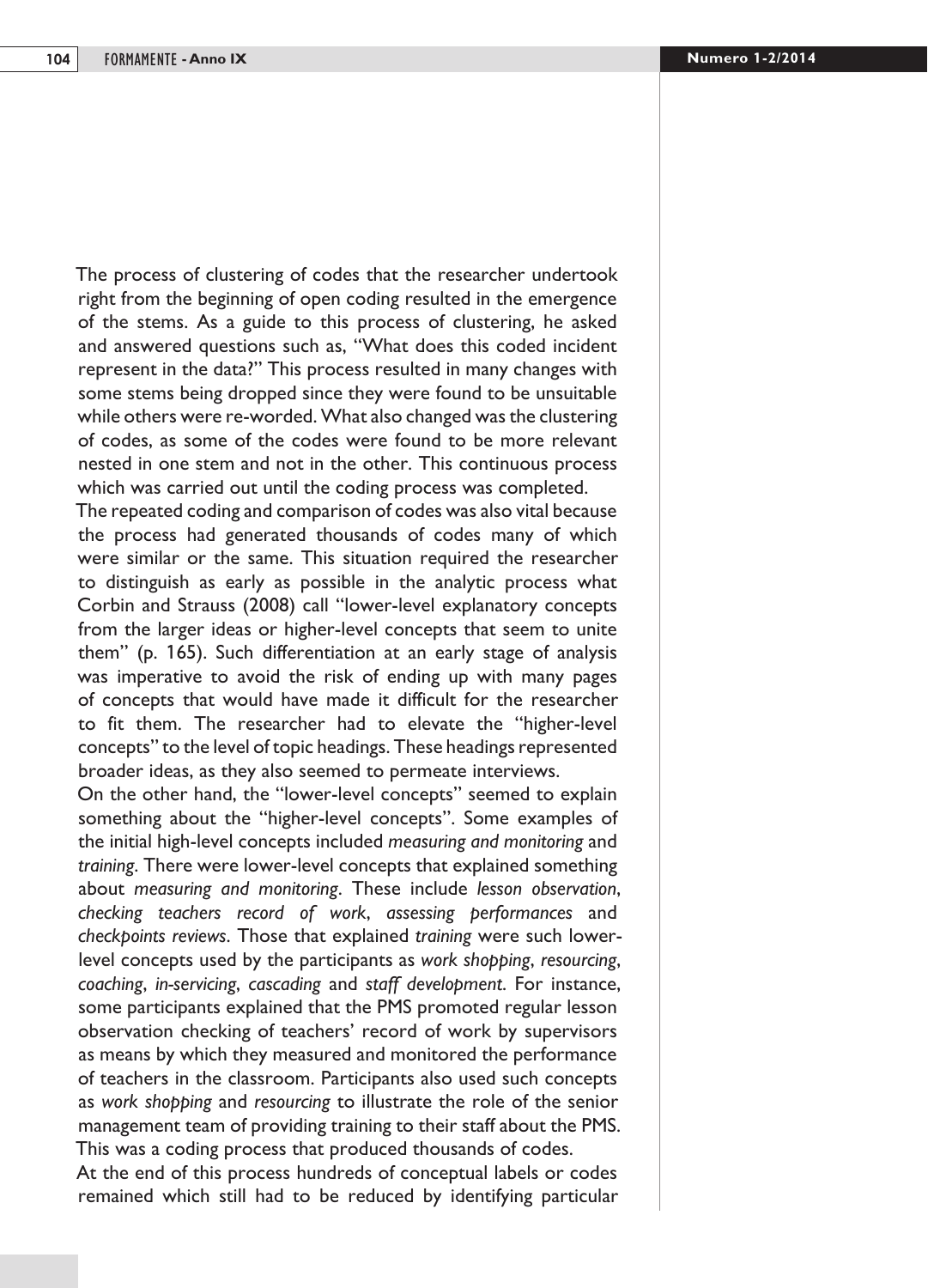The process of clustering of codes that the researcher undertook right from the beginning of open coding resulted in the emergence of the stems. As a guide to this process of clustering, he asked and answered questions such as, "What does this coded incident represent in the data?" This process resulted in many changes with some stems being dropped since they were found to be unsuitable while others were re-worded. What also changed was the clustering of codes, as some of the codes were found to be more relevant nested in one stem and not in the other. This continuous process which was carried out until the coding process was completed.

The repeated coding and comparison of codes was also vital because the process had generated thousands of codes many of which were similar or the same. This situation required the researcher to distinguish as early as possible in the analytic process what Corbin and Strauss (2008) call "lower-level explanatory concepts from the larger ideas or higher-level concepts that seem to unite them" (p. 165). Such differentiation at an early stage of analysis was imperative to avoid the risk of ending up with many pages of concepts that would have made it difficult for the researcher to fit them. The researcher had to elevate the "higher-level concepts" to the level of topic headings. These headings represented broader ideas, as they also seemed to permeate interviews.

On the other hand, the "lower-level concepts" seemed to explain something about the "higher-level concepts". Some examples of the initial high-level concepts included *measuring and monitoring* and *training*. There were lower-level concepts that explained something about *measuring and monitoring*. These include *lesson observation*, *checking teachers record of work*, *assessing performances* and *checkpoints reviews*. Those that explained *training* were such lowerlevel concepts used by the participants as *work shopping*, *resourcing*, *coaching*, *in-servicing*, *cascading* and *staff development*. For instance, some participants explained that the PMS promoted regular lesson observation checking of teachers' record of work by supervisors as means by which they measured and monitored the performance of teachers in the classroom. Participants also used such concepts as *work shopping* and *resourcing* to illustrate the role of the senior management team of providing training to their staff about the PMS. This was a coding process that produced thousands of codes.

At the end of this process hundreds of conceptual labels or codes remained which still had to be reduced by identifying particular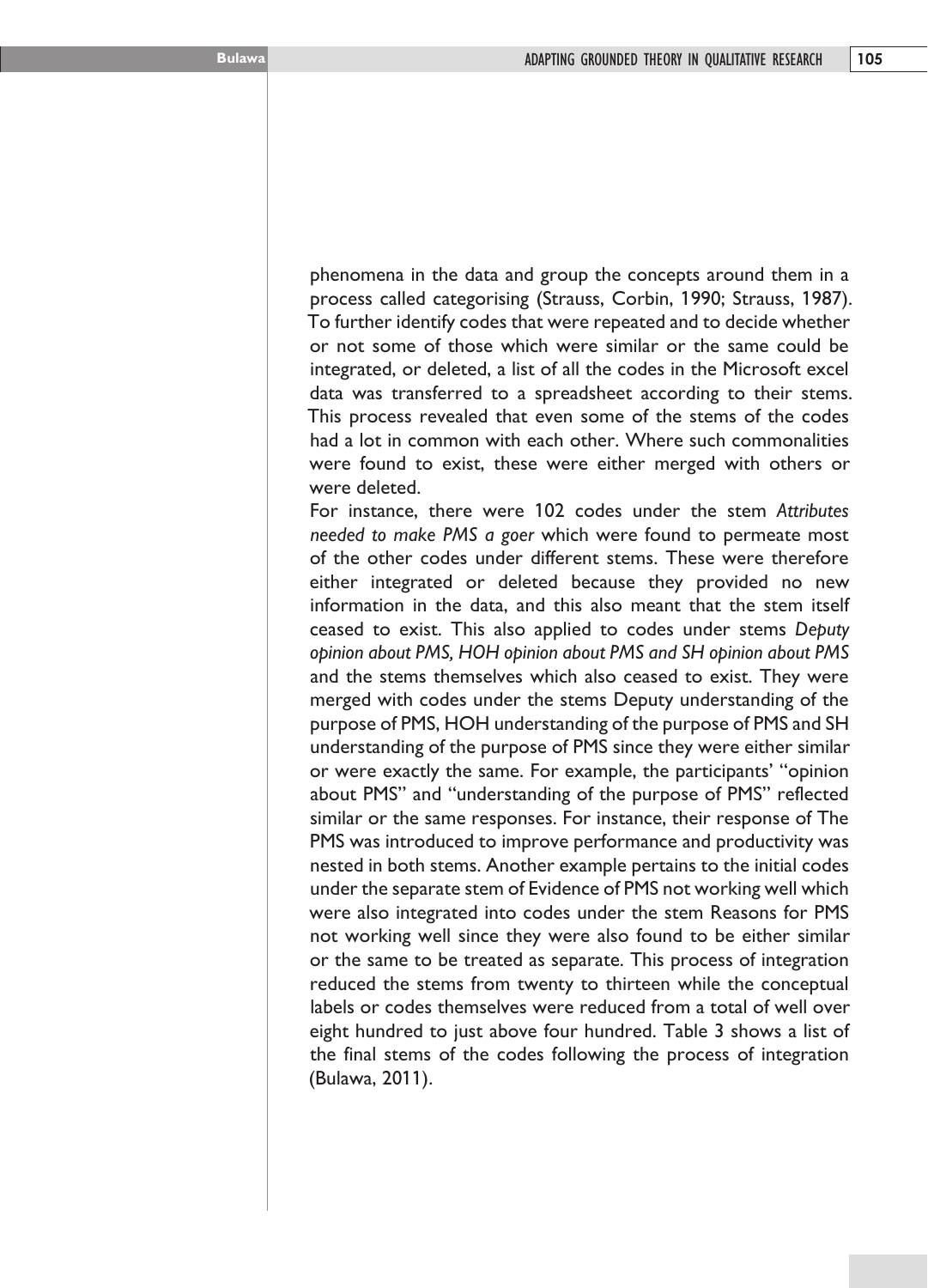phenomena in the data and group the concepts around them in a process called categorising (Strauss, Corbin, 1990; Strauss, 1987). To further identify codes that were repeated and to decide whether or not some of those which were similar or the same could be integrated, or deleted, a list of all the codes in the Microsoft excel data was transferred to a spreadsheet according to their stems. This process revealed that even some of the stems of the codes had a lot in common with each other. Where such commonalities were found to exist, these were either merged with others or were deleted.

For instance, there were 102 codes under the stem *Attributes needed to make PMS a goer* which were found to permeate most of the other codes under different stems. These were therefore either integrated or deleted because they provided no new information in the data, and this also meant that the stem itself ceased to exist. This also applied to codes under stems *Deputy opinion about PMS, HOH opinion about PMS and SH opinion about PMS* and the stems themselves which also ceased to exist. They were merged with codes under the stems Deputy understanding of the purpose of PMS, HOH understanding of the purpose of PMS and SH understanding of the purpose of PMS since they were either similar or were exactly the same. For example, the participants' "opinion about PMS" and "understanding of the purpose of PMS" reflected similar or the same responses. For instance, their response of The PMS was introduced to improve performance and productivity was nested in both stems. Another example pertains to the initial codes under the separate stem of Evidence of PMS not working well which were also integrated into codes under the stem Reasons for PMS not working well since they were also found to be either similar or the same to be treated as separate. This process of integration reduced the stems from twenty to thirteen while the conceptual labels or codes themselves were reduced from a total of well over eight hundred to just above four hundred. Table 3 shows a list of the final stems of the codes following the process of integration (Bulawa, 2011).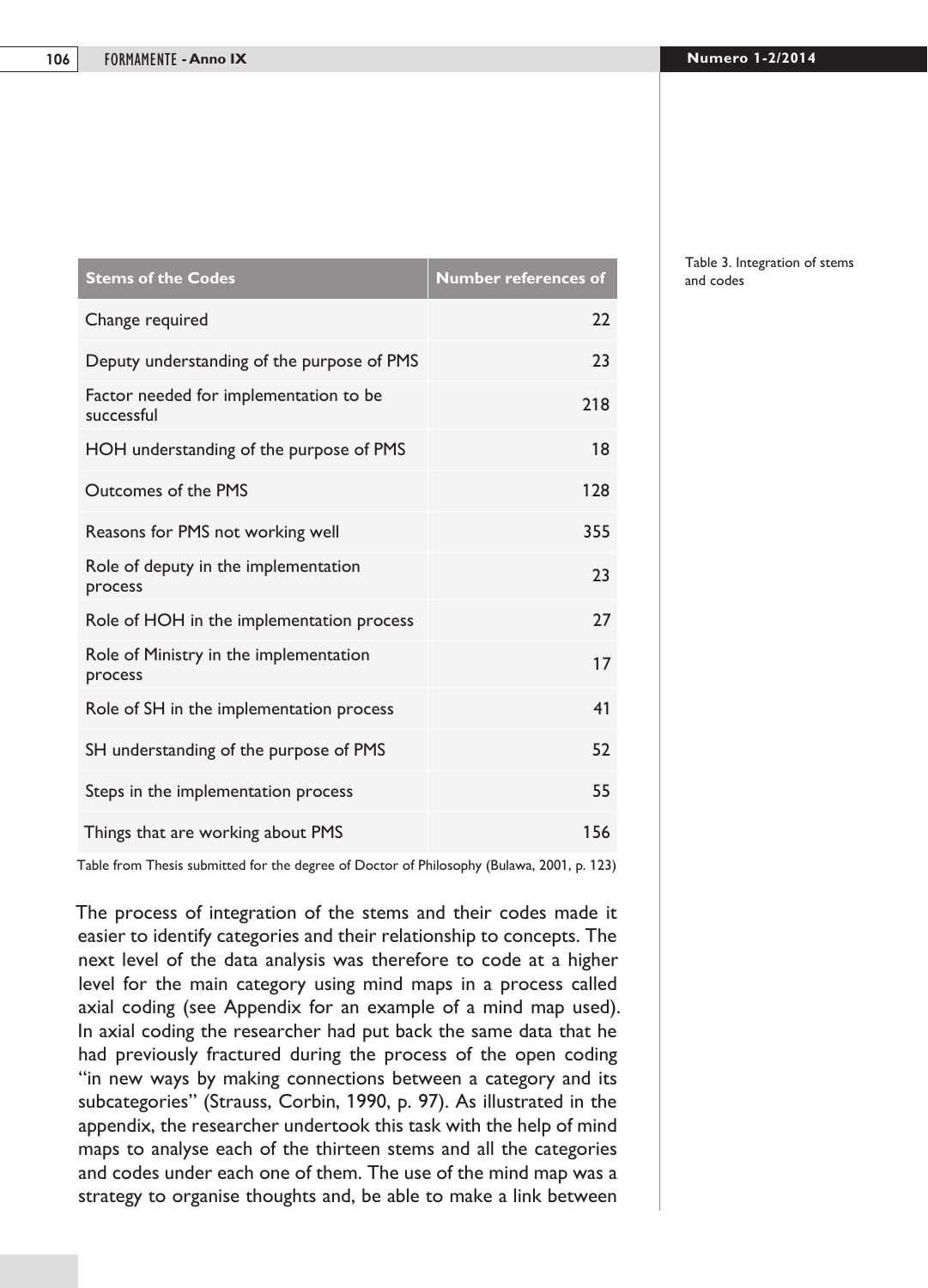| <b>Stems of the Codes</b>                            | <b>Number references of</b> |
|------------------------------------------------------|-----------------------------|
| Change required                                      | 22                          |
| Deputy understanding of the purpose of PMS           | 23                          |
| Factor needed for implementation to be<br>successful | 218                         |
| HOH understanding of the purpose of PMS              | 18                          |
| Outcomes of the PMS                                  | 128                         |
| Reasons for PMS not working well                     | 355                         |
| Role of deputy in the implementation<br>process      | 23                          |
| Role of HOH in the implementation process            | 27                          |
| Role of Ministry in the implementation<br>process    | 17                          |
| Role of SH in the implementation process             | 41                          |
| SH understanding of the purpose of PMS               | 52                          |
| Steps in the implementation process                  | 55                          |
| Things that are working about PMS                    | 156                         |

Table from Thesis submitted for the degree of Doctor of Philosophy (Bulawa, 2001, p. 123)

The process of integration of the stems and their codes made it easier to identify categories and their relationship to concepts. The next level of the data analysis was therefore to code at a higher level for the main category using mind maps in a process called axial coding (see Appendix for an example of a mind map used). In axial coding the researcher had put back the same data that he had previously fractured during the process of the open coding "in new ways by making connections between a category and its subcategories" (Strauss, Corbin, 1990, p. 97). As illustrated in the appendix, the researcher undertook this task with the help of mind maps to analyse each of the thirteen stems and all the categories and codes under each one of them. The use of the mind map was a strategy to organise thoughts and, be able to make a link between

Table 3. Integration of stems and codes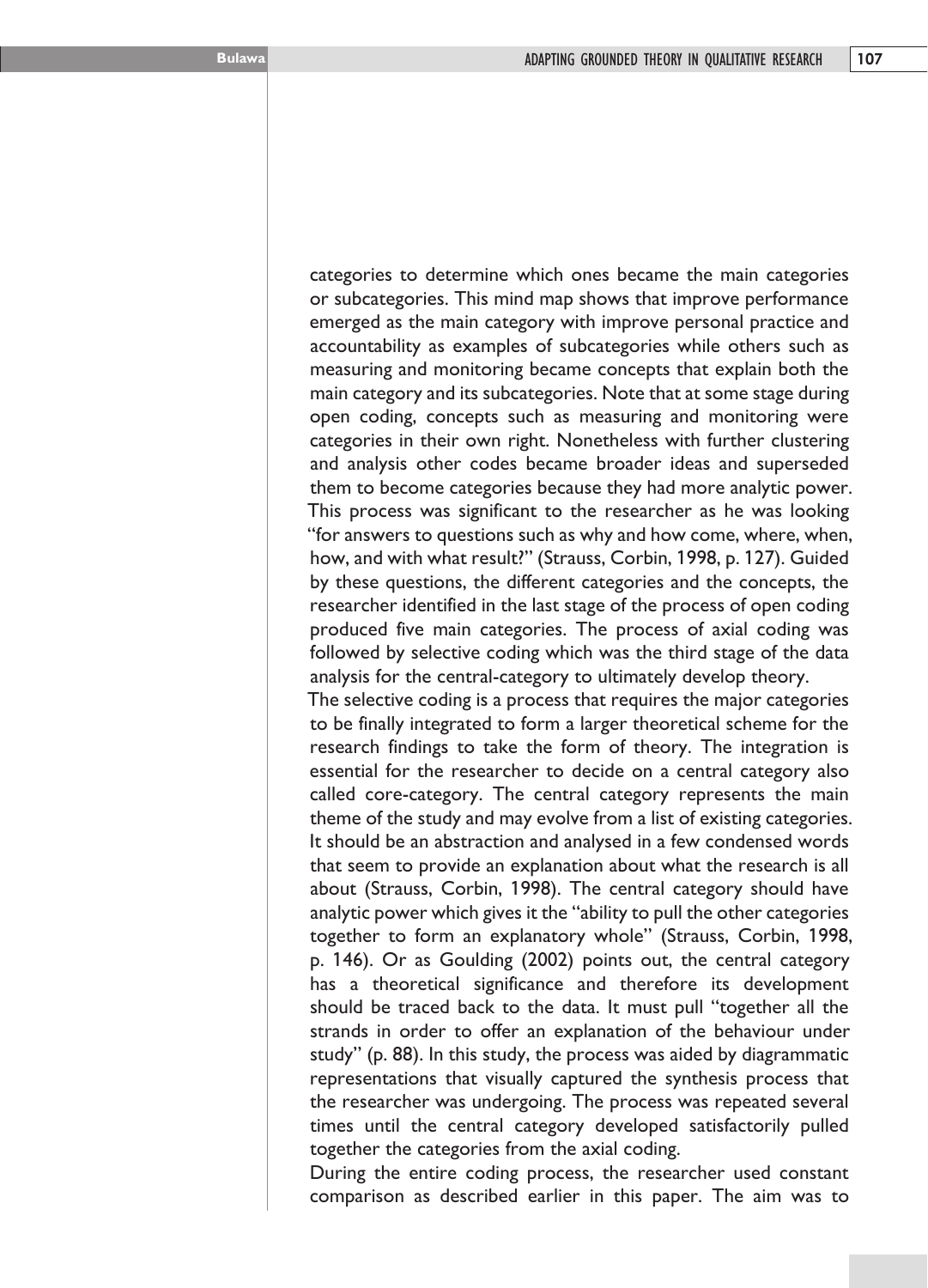categories to determine which ones became the main categories or subcategories. This mind map shows that improve performance emerged as the main category with improve personal practice and accountability as examples of subcategories while others such as measuring and monitoring became concepts that explain both the main category and its subcategories. Note that at some stage during open coding, concepts such as measuring and monitoring were categories in their own right. Nonetheless with further clustering and analysis other codes became broader ideas and superseded them to become categories because they had more analytic power. This process was significant to the researcher as he was looking "for answers to questions such as why and how come, where, when, how, and with what result?" (Strauss, Corbin, 1998, p. 127). Guided by these questions, the different categories and the concepts, the researcher identified in the last stage of the process of open coding produced five main categories. The process of axial coding was followed by selective coding which was the third stage of the data analysis for the central-category to ultimately develop theory.

The selective coding is a process that requires the major categories to be finally integrated to form a larger theoretical scheme for the research findings to take the form of theory. The integration is essential for the researcher to decide on a central category also called core-category. The central category represents the main theme of the study and may evolve from a list of existing categories. It should be an abstraction and analysed in a few condensed words that seem to provide an explanation about what the research is all about (Strauss, Corbin, 1998). The central category should have analytic power which gives it the "ability to pull the other categories together to form an explanatory whole" (Strauss, Corbin, 1998, p. 146). Or as Goulding (2002) points out, the central category has a theoretical significance and therefore its development should be traced back to the data. It must pull "together all the strands in order to offer an explanation of the behaviour under study" (p. 88). In this study, the process was aided by diagrammatic representations that visually captured the synthesis process that the researcher was undergoing. The process was repeated several times until the central category developed satisfactorily pulled together the categories from the axial coding.

During the entire coding process, the researcher used constant comparison as described earlier in this paper. The aim was to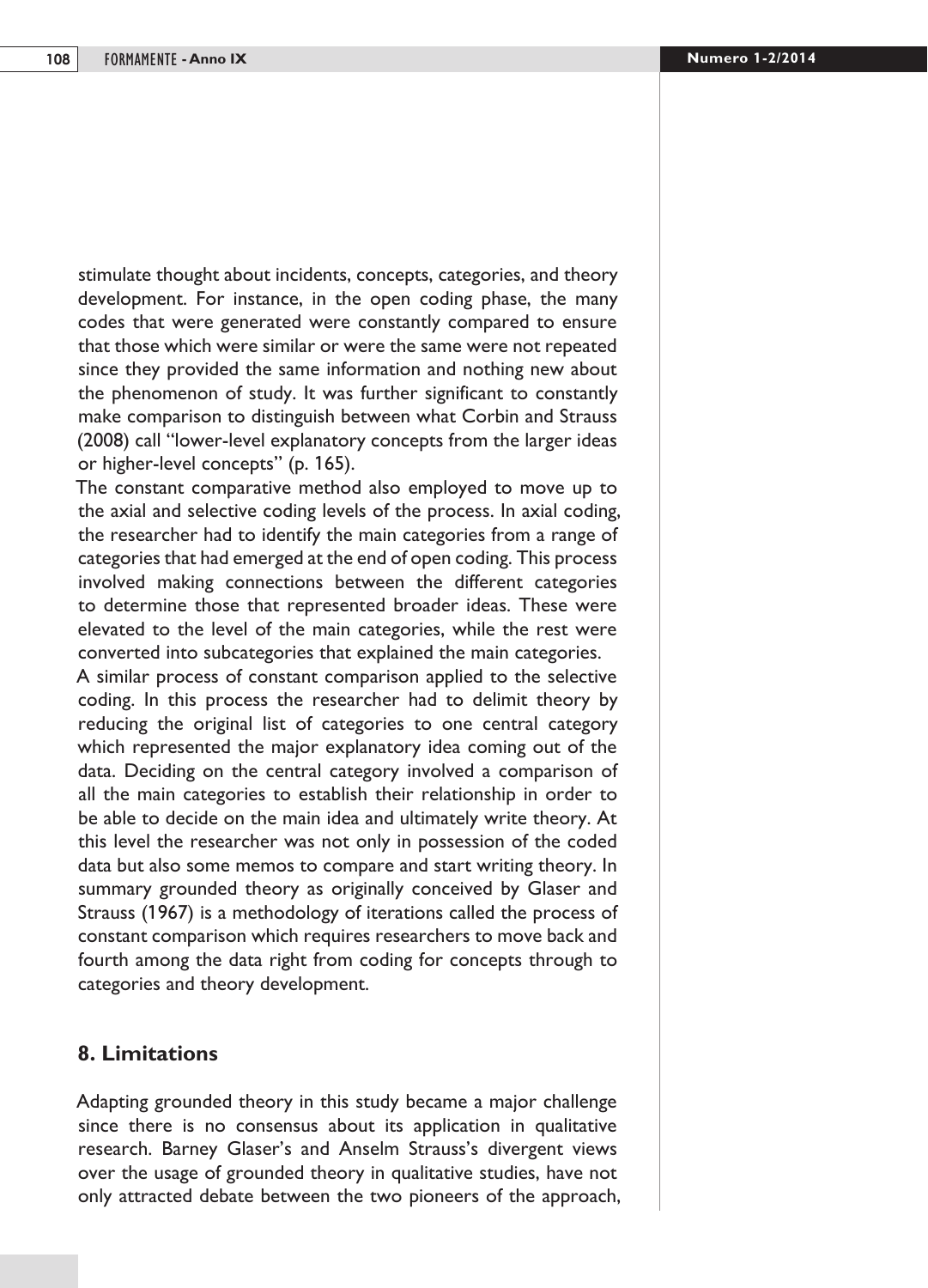stimulate thought about incidents, concepts, categories, and theory development. For instance, in the open coding phase, the many codes that were generated were constantly compared to ensure that those which were similar or were the same were not repeated since they provided the same information and nothing new about the phenomenon of study. It was further significant to constantly make comparison to distinguish between what Corbin and Strauss (2008) call "lower-level explanatory concepts from the larger ideas or higher-level concepts" (p. 165).

The constant comparative method also employed to move up to the axial and selective coding levels of the process. In axial coding, the researcher had to identify the main categories from a range of categories that had emerged at the end of open coding. This process involved making connections between the different categories to determine those that represented broader ideas. These were elevated to the level of the main categories, while the rest were converted into subcategories that explained the main categories.

A similar process of constant comparison applied to the selective coding. In this process the researcher had to delimit theory by reducing the original list of categories to one central category which represented the major explanatory idea coming out of the data. Deciding on the central category involved a comparison of all the main categories to establish their relationship in order to be able to decide on the main idea and ultimately write theory. At this level the researcher was not only in possession of the coded data but also some memos to compare and start writing theory. In summary grounded theory as originally conceived by Glaser and Strauss (1967) is a methodology of iterations called the process of constant comparison which requires researchers to move back and fourth among the data right from coding for concepts through to categories and theory development.

#### **8. Limitations**

Adapting grounded theory in this study became a major challenge since there is no consensus about its application in qualitative research. Barney Glaser's and Anselm Strauss's divergent views over the usage of grounded theory in qualitative studies, have not only attracted debate between the two pioneers of the approach,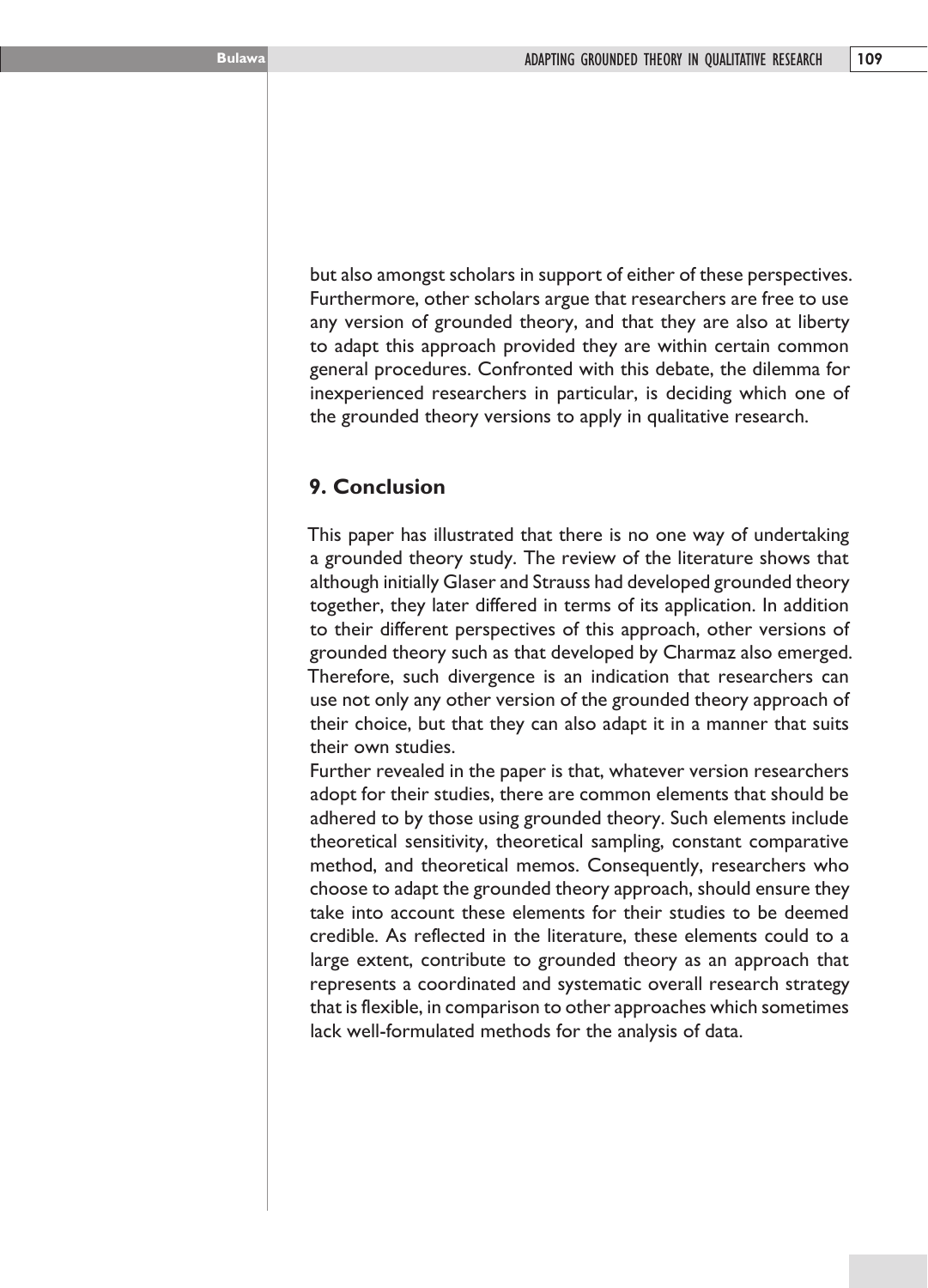but also amongst scholars in support of either of these perspectives. Furthermore, other scholars argue that researchers are free to use any version of grounded theory, and that they are also at liberty to adapt this approach provided they are within certain common general procedures. Confronted with this debate, the dilemma for inexperienced researchers in particular, is deciding which one of the grounded theory versions to apply in qualitative research.

## **9. Conclusion**

This paper has illustrated that there is no one way of undertaking a grounded theory study. The review of the literature shows that although initially Glaser and Strauss had developed grounded theory together, they later differed in terms of its application. In addition to their different perspectives of this approach, other versions of grounded theory such as that developed by Charmaz also emerged. Therefore, such divergence is an indication that researchers can use not only any other version of the grounded theory approach of their choice, but that they can also adapt it in a manner that suits their own studies.

Further revealed in the paper is that, whatever version researchers adopt for their studies, there are common elements that should be adhered to by those using grounded theory. Such elements include theoretical sensitivity, theoretical sampling, constant comparative method, and theoretical memos. Consequently, researchers who choose to adapt the grounded theory approach, should ensure they take into account these elements for their studies to be deemed credible. As reflected in the literature, these elements could to a large extent, contribute to grounded theory as an approach that represents a coordinated and systematic overall research strategy that is flexible, in comparison to other approaches which sometimes lack well-formulated methods for the analysis of data.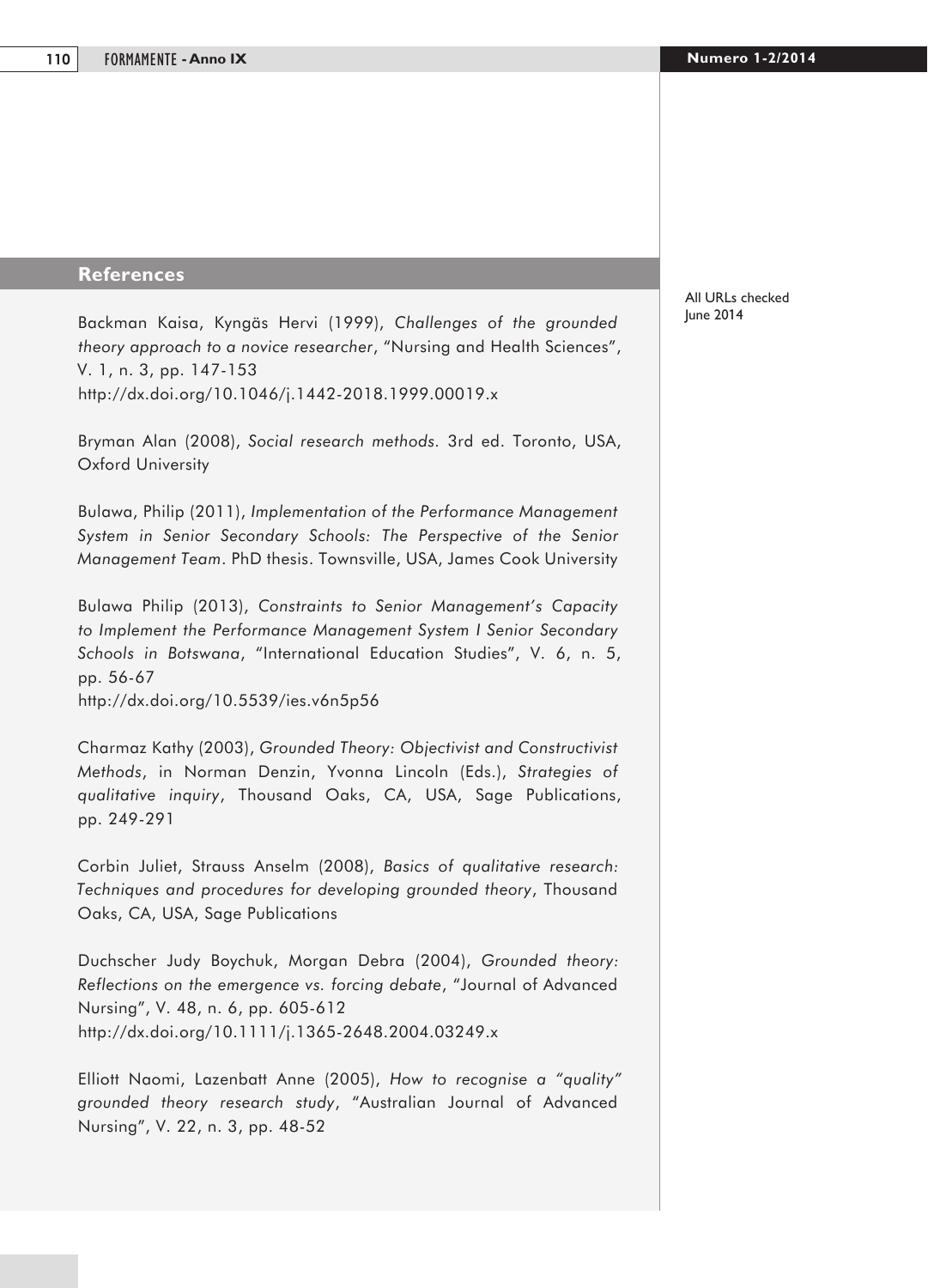#### **References**

Backman Kaisa, Kyngäs Hervi (1999), *Challenges of the grounded theory approach to a novice researcher*, "Nursing and Health Sciences", V. 1, n. 3, pp. 147-153 http://dx.doi.org/10.1046/j.1442-2018.1999.00019.x

Bryman Alan (2008), *Social research methods.* 3rd ed. Toronto, USA, Oxford University

Bulawa, Philip (2011), *Implementation of the Performance Management System in Senior Secondary Schools: The Perspective of the Senior Management Team*. PhD thesis. Townsville, USA, James Cook University

Bulawa Philip (2013), *Constraints to Senior Management's Capacity to Implement the Performance Management System I Senior Secondary Schools in Botswana*, "International Education Studies", V. 6, n. 5, pp. 56-67 http://dx.doi.org/10.5539/ies.v6n5p56

Charmaz Kathy (2003), *Grounded Theory: Objectivist and Constructivist Methods*, in Norman Denzin, Yvonna Lincoln (Eds.), *Strategies of qualitative inquiry*, Thousand Oaks, CA, USA, Sage Publications, pp. 249-291

Corbin Juliet, Strauss Anselm (2008), *Basics of qualitative research: Techniques and procedures for developing grounded theory*, Thousand Oaks, CA, USA, Sage Publications

Duchscher Judy Boychuk, Morgan Debra (2004), *Grounded theory: Reflections on the emergence vs. forcing debate*, "Journal of Advanced Nursing", V. 48, n. 6, pp. 605-612 http://dx.doi.org/10.1111/j.1365-2648.2004.03249.x

Elliott Naomi, Lazenbatt Anne (2005), *How to recognise a "quality" grounded theory research study*, "Australian Journal of Advanced Nursing", V. 22, n. 3, pp. 48-52

All URLs checked June 2014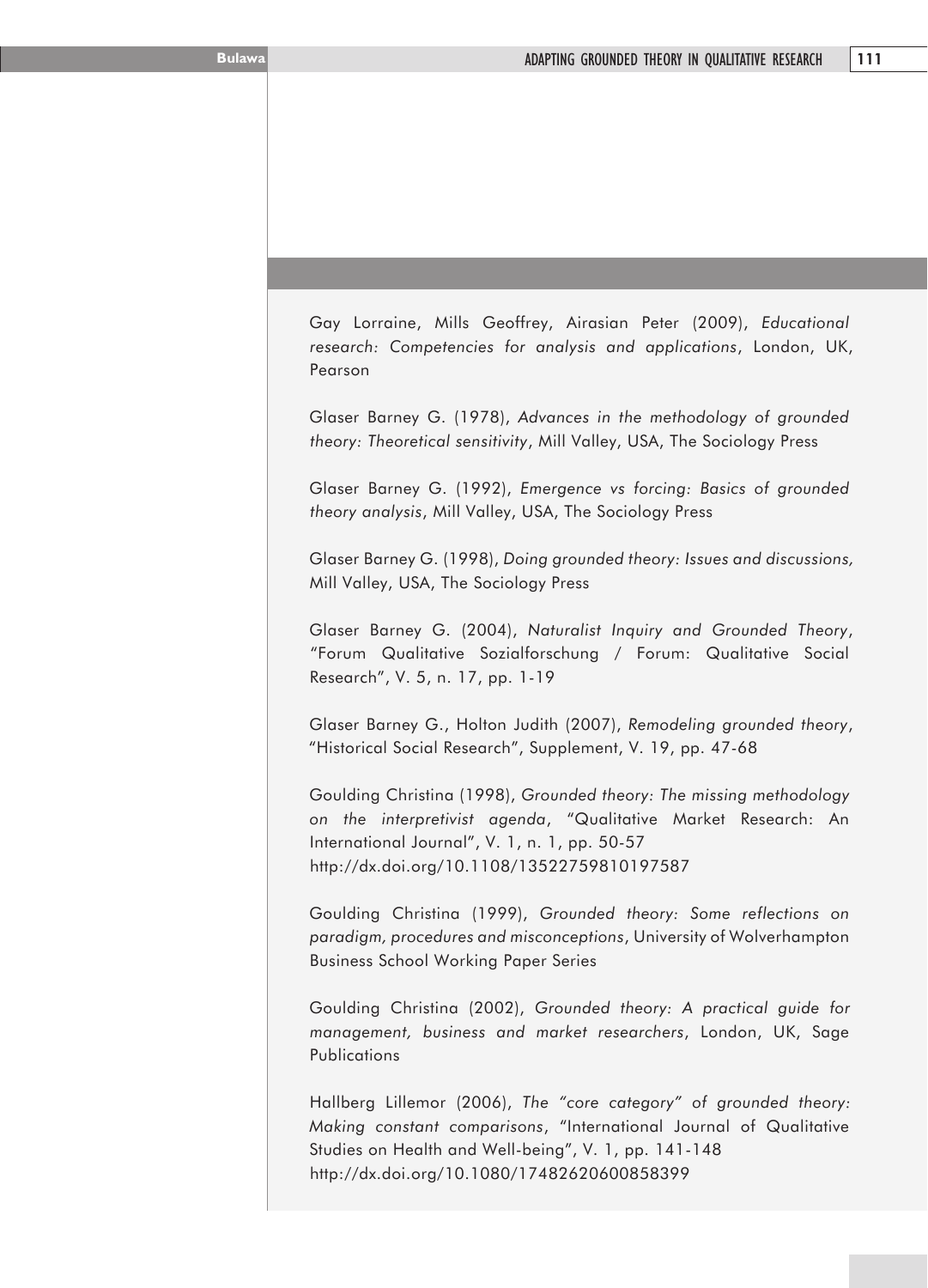Gay Lorraine, Mills Geoffrey, Airasian Peter (2009), *Educational research: Competencies for analysis and applications*, London, UK, Pearson

Glaser Barney G. (1978), *Advances in the methodology of grounded theory: Theoretical sensitivity*, Mill Valley, USA, The Sociology Press

Glaser Barney G. (1992), *Emergence vs forcing: Basics of grounded theory analysis*, Mill Valley, USA, The Sociology Press

Glaser Barney G. (1998), *Doing grounded theory: Issues and discussions,*  Mill Valley, USA, The Sociology Press

Glaser Barney G. (2004), *Naturalist Inquiry and Grounded Theory*, "Forum Qualitative Sozialforschung / Forum: Qualitative Social Research", V. 5, n. 17, pp. 1-19

Glaser Barney G., Holton Judith (2007), *Remodeling grounded theory*, "Historical Social Research", Supplement, V. 19, pp. 47-68

Goulding Christina (1998), *Grounded theory: The missing methodology on the interpretivist agenda*, "Qualitative Market Research: An International Journal", V. 1, n. 1, pp. 50-57 http://dx.doi.org/10.1108/13522759810197587

Goulding Christina (1999), *Grounded theory: Some reflections on paradigm, procedures and misconceptions*, University of Wolverhampton Business School Working Paper Series

Goulding Christina (2002), *Grounded theory: A practical guide for management, business and market researchers*, London, UK, Sage **Publications** 

Hallberg Lillemor (2006), *The "core category" of grounded theory: Making constant comparisons*, "International Journal of Qualitative Studies on Health and Well-being", V. 1, pp. 141-148 http://dx.doi.org/10.1080/17482620600858399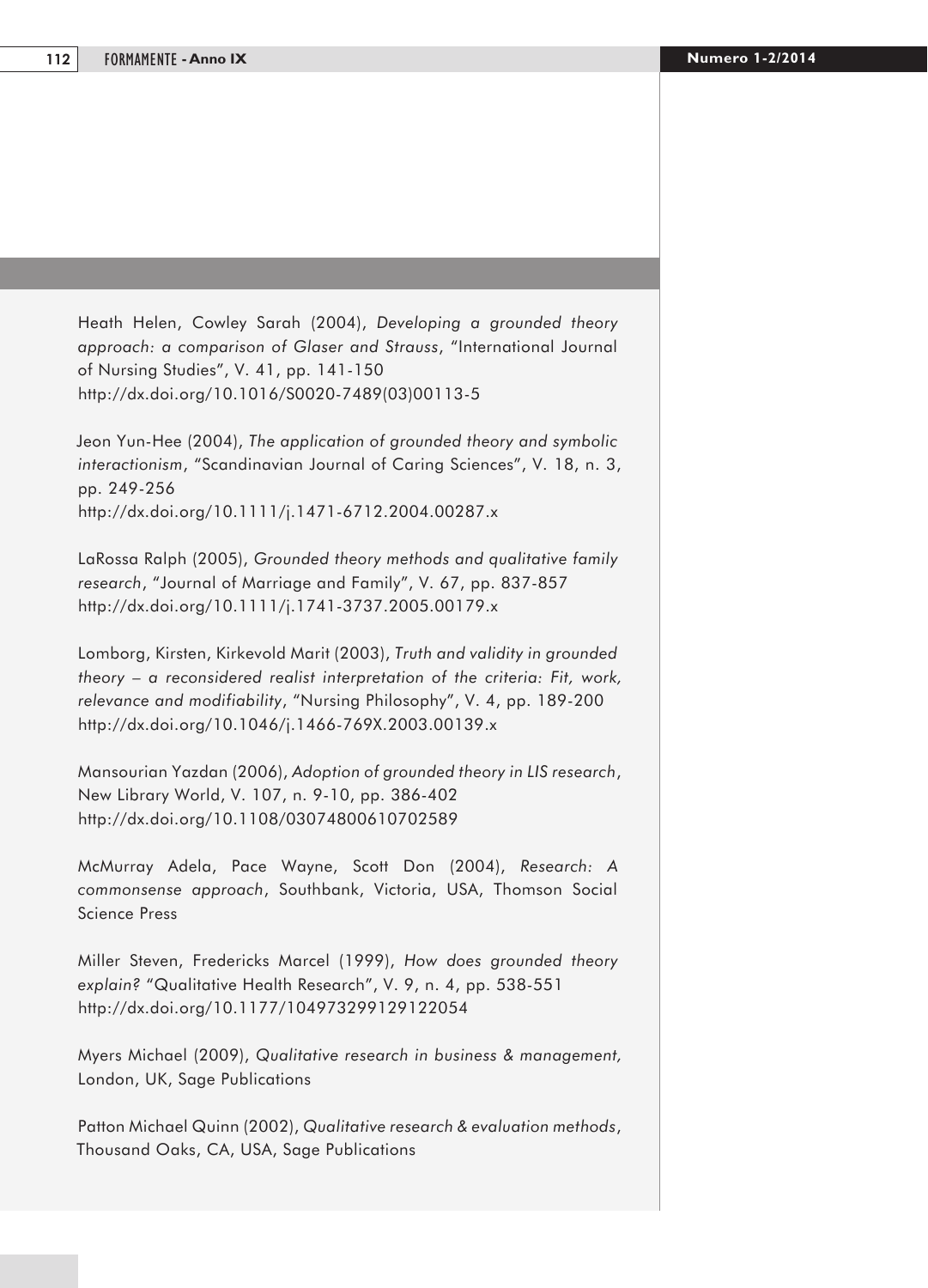Heath Helen, Cowley Sarah (2004), *Developing a grounded theory approach: a comparison of Glaser and Strauss*, "International Journal of Nursing Studies", V. 41, pp. 141-150 http://dx.doi.org/10.1016/S0020-7489(03)00113-5

Jeon Yun-Hee (2004), *The application of grounded theory and symbolic interactionism*, "Scandinavian Journal of Caring Sciences", V. 18, n. 3, pp. 249-256 http://dx.doi.org/10.1111/j.1471-6712.2004.00287.x

LaRossa Ralph (2005), *Grounded theory methods and qualitative family research*, "Journal of Marriage and Family", V. 67, pp. 837-857 http://dx.doi.org/10.1111/j.1741-3737.2005.00179.x

Lomborg, Kirsten, Kirkevold Marit (2003), *Truth and validity in grounded theory – a reconsidered realist interpretation of the criteria: Fit, work, relevance and modifiability*, "Nursing Philosophy", V. 4, pp. 189-200 http://dx.doi.org/10.1046/j.1466-769X.2003.00139.x

Mansourian Yazdan (2006), *Adoption of grounded theory in LIS research*, New Library World, V. 107, n. 9-10, pp. 386-402 http://dx.doi.org/10.1108/03074800610702589

McMurray Adela, Pace Wayne, Scott Don (2004), *Research: A commonsense approach*, Southbank, Victoria, USA, Thomson Social Science Press

Miller Steven, Fredericks Marcel (1999), *How does grounded theory explain?* "Qualitative Health Research", V. 9, n. 4, pp. 538-551 http://dx.doi.org/10.1177/104973299129122054

Myers Michael (2009), *Qualitative research in business & management,*  London, UK, Sage Publications

Patton Michael Quinn (2002), *Qualitative research & evaluation methods*, Thousand Oaks, CA, USA, Sage Publications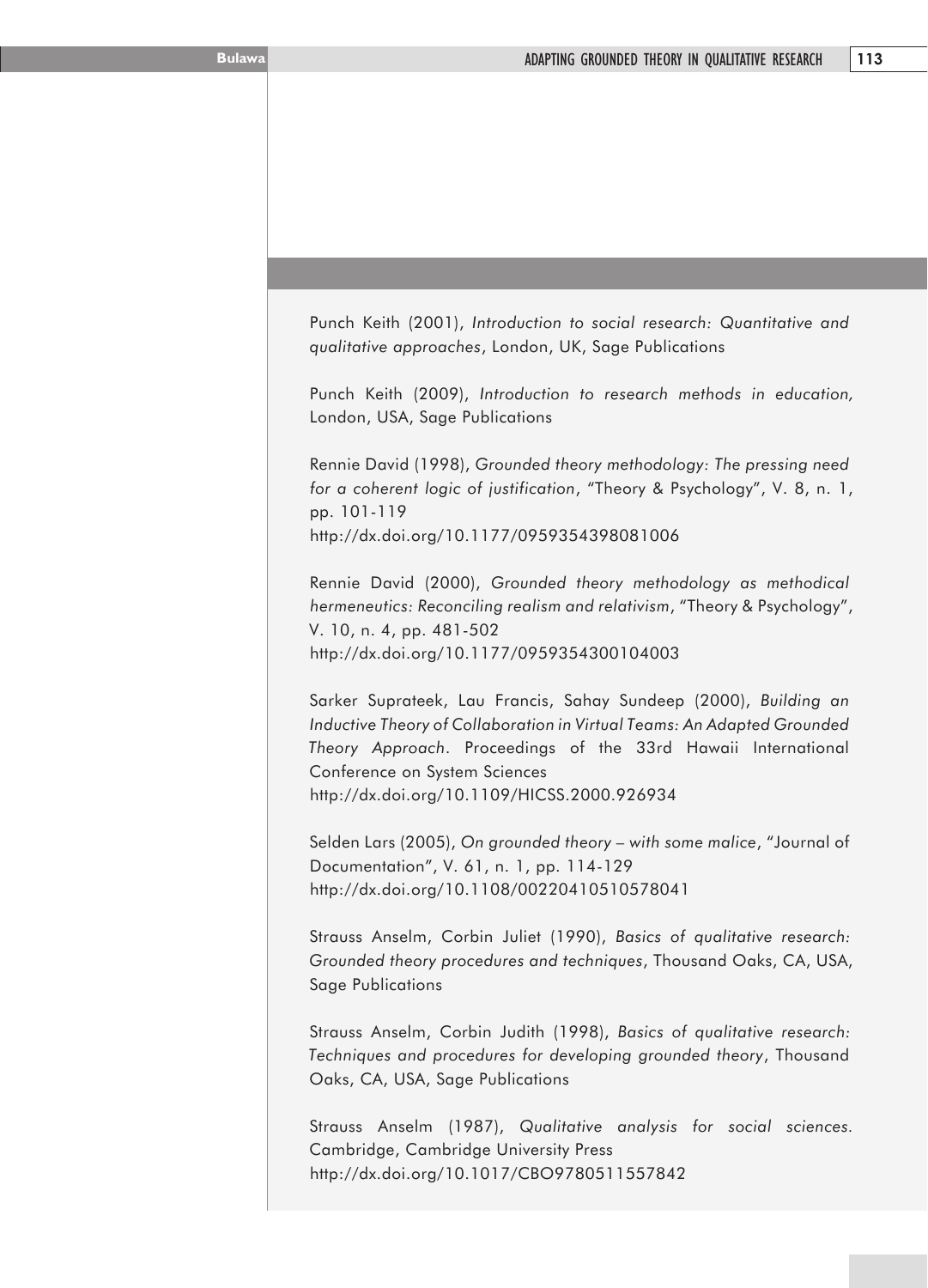Punch Keith (2001), *Introduction to social research: Quantitative and qualitative approaches*, London, UK, Sage Publications

Punch Keith (2009), *Introduction to research methods in education,*  London, USA, Sage Publications

Rennie David (1998), *Grounded theory methodology: The pressing need for a coherent logic of justification*, "Theory & Psychology", V. 8, n. 1, pp. 101-119 http://dx.doi.org/10.1177/0959354398081006

Rennie David (2000), *Grounded theory methodology as methodical hermeneutics: Reconciling realism and relativism*, "Theory & Psychology", V. 10, n. 4, pp. 481-502 http://dx.doi.org/10.1177/0959354300104003

Sarker Suprateek, Lau Francis, Sahay Sundeep (2000), *Building an Inductive Theory of Collaboration in Virtual Teams: An Adapted Grounded Theory Approach*. Proceedings of the 33rd Hawaii International Conference on System Sciences http://dx.doi.org/10.1109/HICSS.2000.926934

Selden Lars (2005), *On grounded theory – with some malice*, "Journal of Documentation", V. 61, n. 1, pp. 114-129 http://dx.doi.org/10.1108/00220410510578041

Strauss Anselm, Corbin Juliet (1990), *Basics of qualitative research: Grounded theory procedures and techniques*, Thousand Oaks, CA, USA, Sage Publications

Strauss Anselm, Corbin Judith (1998), *Basics of qualitative research: Techniques and procedures for developing grounded theory*, Thousand Oaks, CA, USA, Sage Publications

Strauss Anselm (1987), *Qualitative analysis for social sciences.*  Cambridge, Cambridge University Press http://dx.doi.org/10.1017/CBO9780511557842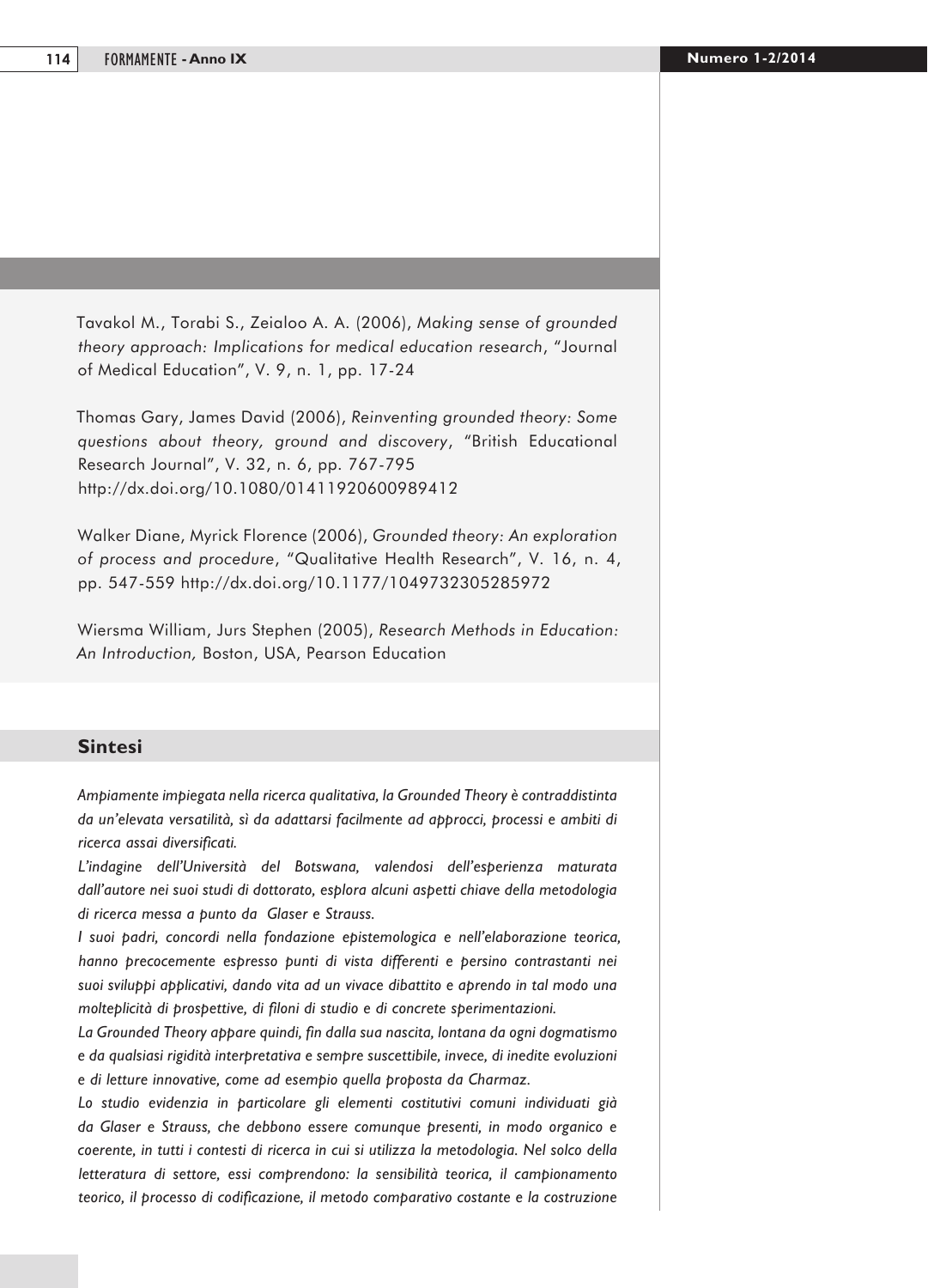Tavakol M., Torabi S., Zeialoo A. A. (2006), *Making sense of grounded theory approach: Implications for medical education research*, "Journal of Medical Education", V. 9, n. 1, pp. 17-24

Thomas Gary, James David (2006), *Reinventing grounded theory: Some questions about theory, ground and discovery*, "British Educational Research Journal", V. 32, n. 6, pp. 767-795 http://dx.doi.org/10.1080/01411920600989412

Walker Diane, Myrick Florence (2006), *Grounded theory: An exploration of process and procedure*, "Qualitative Health Research", V. 16, n. 4, pp. 547-559 http://dx.doi.org/10.1177/1049732305285972

Wiersma William, Jurs Stephen (2005), *Research Methods in Education: An Introduction,* Boston, USA, Pearson Education

#### **Sintesi**

*Ampiamente impiegata nella ricerca qualitativa, la Grounded Theory è contraddistinta da un'elevata versatilità, sì da adattarsi facilmente ad approcci, processi e ambiti di ricerca assai diversificati.*

*L'indagine dell'Università del Botswana, valendosi dell'esperienza maturata dall'autore nei suoi studi di dottorato, esplora alcuni aspetti chiave della metodologia di ricerca messa a punto da Glaser e Strauss.* 

*I suoi padri, concordi nella fondazione epistemologica e nell'elaborazione teorica, hanno precocemente espresso punti di vista differenti e persino contrastanti nei suoi sviluppi applicativi, dando vita ad un vivace dibattito e aprendo in tal modo una molteplicità di prospettive, di filoni di studio e di concrete sperimentazioni.* 

*La Grounded Theory appare quindi, fin dalla sua nascita, lontana da ogni dogmatismo e da qualsiasi rigidità interpretativa e sempre suscettibile, invece, di inedite evoluzioni e di letture innovative, come ad esempio quella proposta da Charmaz.*

*Lo studio evidenzia in particolare gli elementi costitutivi comuni individuati già da Glaser e Strauss, che debbono essere comunque presenti, in modo organico e coerente, in tutti i contesti di ricerca in cui si utilizza la metodologia. Nel solco della letteratura di settore, essi comprendono: la sensibilità teorica, il campionamento teorico, il processo di codificazione, il metodo comparativo costante e la costruzione*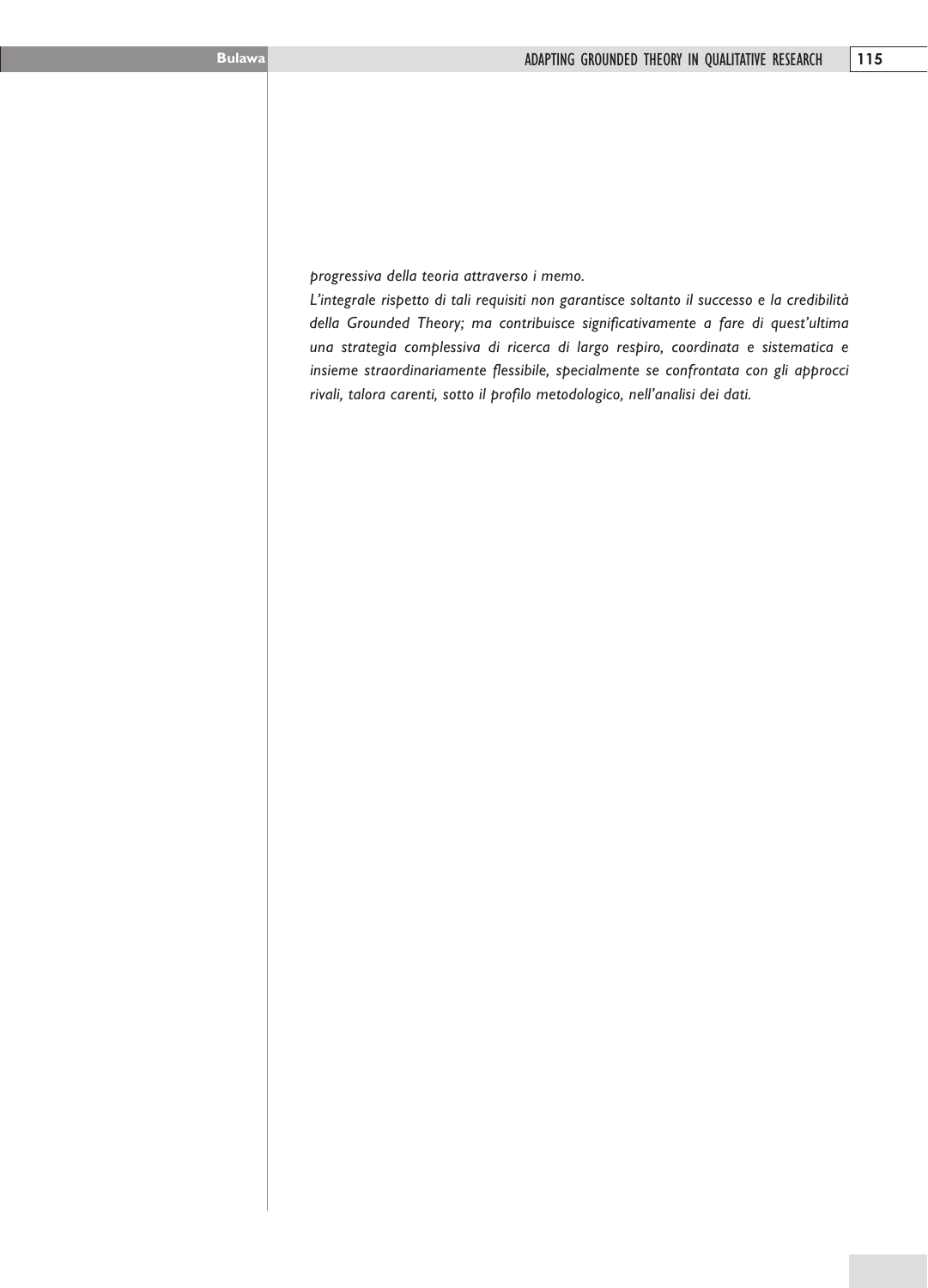*progressiva della teoria attraverso i memo.*

*L'integrale rispetto di tali requisiti non garantisce soltanto il successo e la credibilità della Grounded Theory; ma contribuisce significativamente a fare di quest'ultima una strategia complessiva di ricerca di largo respiro, coordinata e sistematica e insieme straordinariamente flessibile, specialmente se confrontata con gli approcci rivali, talora carenti, sotto il profilo metodologico, nell'analisi dei dati.*